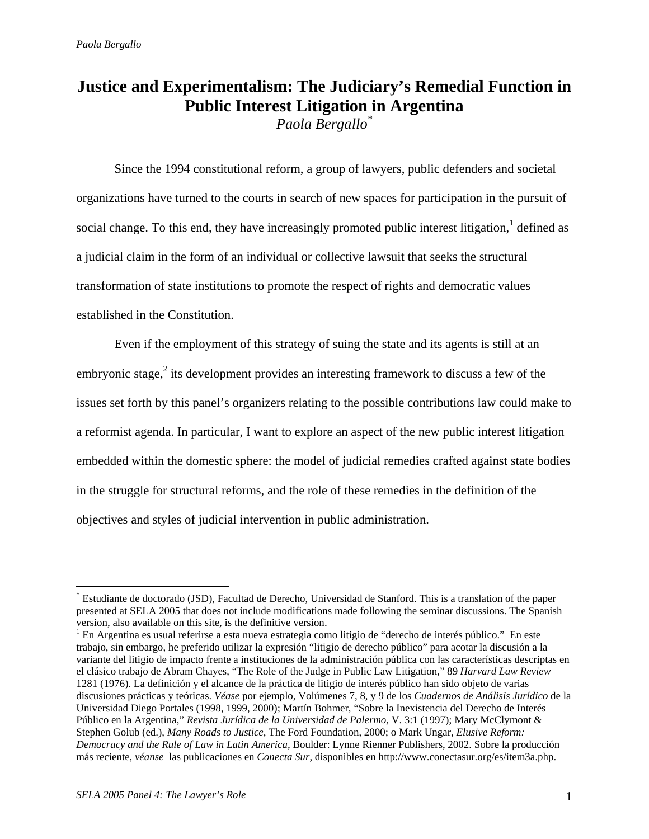# **Justice and Experimentalism: The Judiciary's Remedial Function in Public Interest Litigation in Argentina**

*Paola Bergallo\**

Since the 1994 constitutional reform, a group of lawyers, public defenders and societal organizations have turned to the courts in search of new spaces for participation in the pursuit of social change. To this end, they have increasingly promoted public interest litigation, $<sup>1</sup>$  defined as</sup> a judicial claim in the form of an individual or collective lawsuit that seeks the structural transformation of state institutions to promote the respect of rights and democratic values established in the Constitution.

Even if the employment of this strategy of suing the state and its agents is still at an embryonic stage, $^2$  its development provides an interesting framework to discuss a few of the issues set forth by this panel's organizers relating to the possible contributions law could make to a reformist agenda. In particular, I want to explore an aspect of the new public interest litigation embedded within the domestic sphere: the model of judicial remedies crafted against state bodies in the struggle for structural reforms, and the role of these remedies in the definition of the objectives and styles of judicial intervention in public administration.

1

<sup>\*</sup> Estudiante de doctorado (JSD), Facultad de Derecho, Universidad de Stanford. This is a translation of the paper presented at SELA 2005 that does not include modifications made following the seminar discussions. The Spanish version, also available on this site, is the definitive version.

<sup>&</sup>lt;sup>1</sup> En Argentina es usual referirse a esta nueva estrategia como litigio de "derecho de interés público." En este trabajo, sin embargo, he preferido utilizar la expresión "litigio de derecho público" para acotar la discusión a la variante del litigio de impacto frente a instituciones de la administración pública con las características descriptas en el clásico trabajo de Abram Chayes, "The Role of the Judge in Public Law Litigation," 89 *Harvard Law Review* 1281 (1976). La definición y el alcance de la práctica de litigio de interés público han sido objeto de varias discusiones prácticas y teóricas. *Véase* por ejemplo, Volúmenes 7, 8, y 9 de los *Cuadernos de Análisis Jurídico* de la Universidad Diego Portales (1998, 1999, 2000); Martín Bohmer, "Sobre la Inexistencia del Derecho de Interés Público en la Argentina," *Revista Jurídica de la Universidad de Palermo,* V. 3:1 (1997); Mary McClymont & Stephen Golub (ed.), *Many Roads to Justice,* The Ford Foundation, 2000; o Mark Ungar, *Elusive Reform: Democracy and the Rule of Law in Latin America,* Boulder: Lynne Rienner Publishers, 2002. Sobre la producción más reciente, *véanse* las publicaciones en *Conecta Sur*, disponibles en http://www.conectasur.org/es/item3a.php.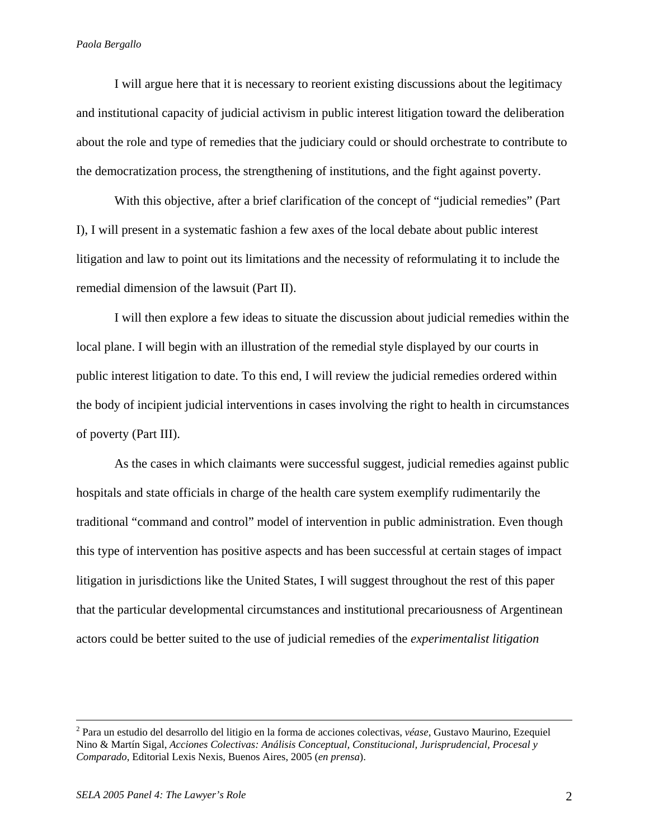I will argue here that it is necessary to reorient existing discussions about the legitimacy and institutional capacity of judicial activism in public interest litigation toward the deliberation about the role and type of remedies that the judiciary could or should orchestrate to contribute to the democratization process, the strengthening of institutions, and the fight against poverty.

With this objective, after a brief clarification of the concept of "judicial remedies" (Part I), I will present in a systematic fashion a few axes of the local debate about public interest litigation and law to point out its limitations and the necessity of reformulating it to include the remedial dimension of the lawsuit (Part II).

I will then explore a few ideas to situate the discussion about judicial remedies within the local plane. I will begin with an illustration of the remedial style displayed by our courts in public interest litigation to date. To this end, I will review the judicial remedies ordered within the body of incipient judicial interventions in cases involving the right to health in circumstances of poverty (Part III).

As the cases in which claimants were successful suggest, judicial remedies against public hospitals and state officials in charge of the health care system exemplify rudimentarily the traditional "command and control" model of intervention in public administration. Even though this type of intervention has positive aspects and has been successful at certain stages of impact litigation in jurisdictions like the United States, I will suggest throughout the rest of this paper that the particular developmental circumstances and institutional precariousness of Argentinean actors could be better suited to the use of judicial remedies of the *experimentalist litigation* 

 $\frac{1}{2}$  Para un estudio del desarrollo del litigio en la forma de acciones colectivas, *véase*, Gustavo Maurino, Ezequiel Nino & Martín Sigal, *Acciones Colectivas: Análisis Conceptual, Constitucional, Jurisprudencial, Procesal y Comparado*, Editorial Lexis Nexis, Buenos Aires, 2005 (*en prensa*).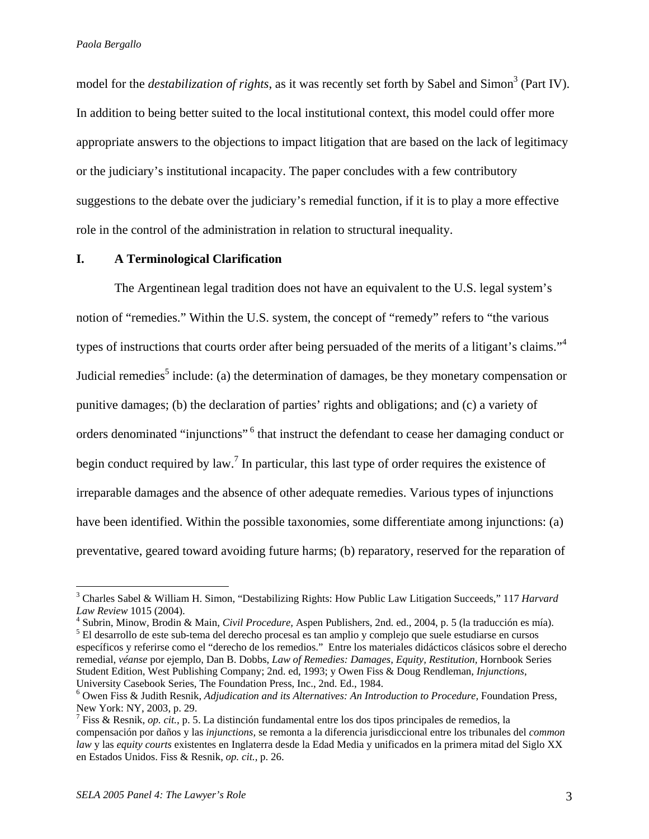model for the *destabilization of rights*, as it was recently set forth by Sabel and Simon<sup>3</sup> (Part IV). In addition to being better suited to the local institutional context, this model could offer more appropriate answers to the objections to impact litigation that are based on the lack of legitimacy or the judiciary's institutional incapacity. The paper concludes with a few contributory suggestions to the debate over the judiciary's remedial function, if it is to play a more effective role in the control of the administration in relation to structural inequality.

# **I. A Terminological Clarification**

The Argentinean legal tradition does not have an equivalent to the U.S. legal system's notion of "remedies." Within the U.S. system, the concept of "remedy" refers to "the various types of instructions that courts order after being persuaded of the merits of a litigant's claims."<sup>4</sup> Judicial remedies<sup>5</sup> include: (a) the determination of damages, be they monetary compensation or punitive damages; (b) the declaration of parties' rights and obligations; and (c) a variety of orders denominated "injunctions"<sup>6</sup> that instruct the defendant to cease her damaging conduct or begin conduct required by law.<sup>7</sup> In particular, this last type of order requires the existence of irreparable damages and the absence of other adequate remedies. Various types of injunctions have been identified. Within the possible taxonomies, some differentiate among injunctions: (a) preventative, geared toward avoiding future harms; (b) reparatory, reserved for the reparation of

1

<sup>3</sup> Charles Sabel & William H. Simon, "Destabilizing Rights: How Public Law Litigation Succeeds," 117 *Harvard Law Review* 1015 (2004).

Subrin, Minow, Brodin & Main, *Civil Procedure,* Aspen Publishers, 2nd. ed., 2004, p. 5 (la traducción es mía). 5 El desarrollo de este sub-tema del derecho procesal es tan amplio y complejo que suele estudiarse en cursos específicos y referirse como el "derecho de los remedios." Entre los materiales didácticos clásicos sobre el derecho remedial, *véanse* por ejemplo, Dan B. Dobbs, *Law of Remedies: Damages, Equity, Restitution,* Hornbook Series Student Edition, West Publishing Company; 2nd. ed, 1993; y Owen Fiss & Doug Rendleman, *Injunctions*, University Casebook Series, The Foundation Press, Inc., 2nd. Ed., 1984.

<sup>6</sup> Owen Fiss & Judith Resnik, *Adjudication and its Alternatives: An Introduction to Procedure,* Foundation Press, New York: NY, 2003, p. 29.

<sup>7</sup> Fiss & Resnik, *op. cit.*, p. 5. La distinción fundamental entre los dos tipos principales de remedios, la compensación por daños y las *injunctions,* se remonta a la diferencia jurisdiccional entre los tribunales del *common law* y las *equity courts* existentes en Inglaterra desde la Edad Media y unificados en la primera mitad del Siglo XX en Estados Unidos. Fiss & Resnik, *op. cit.*, p. 26.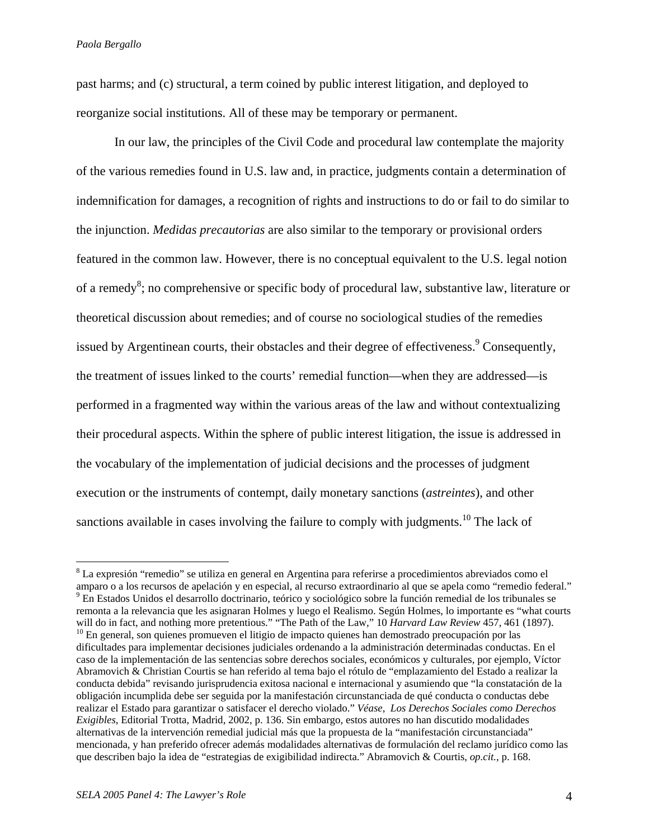past harms; and (c) structural, a term coined by public interest litigation, and deployed to reorganize social institutions. All of these may be temporary or permanent.

 In our law, the principles of the Civil Code and procedural law contemplate the majority of the various remedies found in U.S. law and, in practice, judgments contain a determination of indemnification for damages, a recognition of rights and instructions to do or fail to do similar to the injunction. *Medidas precautorias* are also similar to the temporary or provisional orders featured in the common law. However, there is no conceptual equivalent to the U.S. legal notion of a remedy<sup>8</sup>; no comprehensive or specific body of procedural law, substantive law, literature or theoretical discussion about remedies; and of course no sociological studies of the remedies issued by Argentinean courts, their obstacles and their degree of effectiveness.<sup>9</sup> Consequently, the treatment of issues linked to the courts' remedial function—when they are addressed—is performed in a fragmented way within the various areas of the law and without contextualizing their procedural aspects. Within the sphere of public interest litigation, the issue is addressed in the vocabulary of the implementation of judicial decisions and the processes of judgment execution or the instruments of contempt, daily monetary sanctions (*astreintes*), and other sanctions available in cases involving the failure to comply with judgments.<sup>10</sup> The lack of

<sup>&</sup>lt;sup>8</sup> La expresión "remedio" se utiliza en general en Argentina para referirse a procedimientos abreviados como el amparo o a los recursos de apelación y en especial, al recurso extraordinario al que se apela como "remedio federal." 9 En Estados Unidos el desarrollo doctrinario, teórico y sociológico sobre la función remedial de los tribunales se remonta a la relevancia que les asignaran Holmes y luego el Realismo. Según Holmes, lo importante es "what courts will do in fact, and nothing more pretentious." "The Path of the Law," 10 Harvard Law Review 457, 461 (1897) <sup>10</sup> En general, son quienes promueven el litigio de impacto quienes han demostrado preocupación por las dificultades para implementar decisiones judiciales ordenando a la administración determinadas conductas. En el caso de la implementación de las sentencias sobre derechos sociales, económicos y culturales, por ejemplo, Víctor Abramovich & Christian Courtis se han referido al tema bajo el rótulo de "emplazamiento del Estado a realizar la conducta debida" revisando jurisprudencia exitosa nacional e internacional y asumiendo que "la constatación de la obligación incumplida debe ser seguida por la manifestación circunstanciada de qué conducta o conductas debe realizar el Estado para garantizar o satisfacer el derecho violado." *Véase*, *Los Derechos Sociales como Derechos Exigibles*, Editorial Trotta, Madrid, 2002, p. 136. Sin embargo, estos autores no han discutido modalidades alternativas de la intervención remedial judicial más que la propuesta de la "manifestación circunstanciada" mencionada, y han preferido ofrecer además modalidades alternativas de formulación del reclamo jurídico como las que describen bajo la idea de "estrategias de exigibilidad indirecta." Abramovich & Courtis, *op.cit.*, p. 168.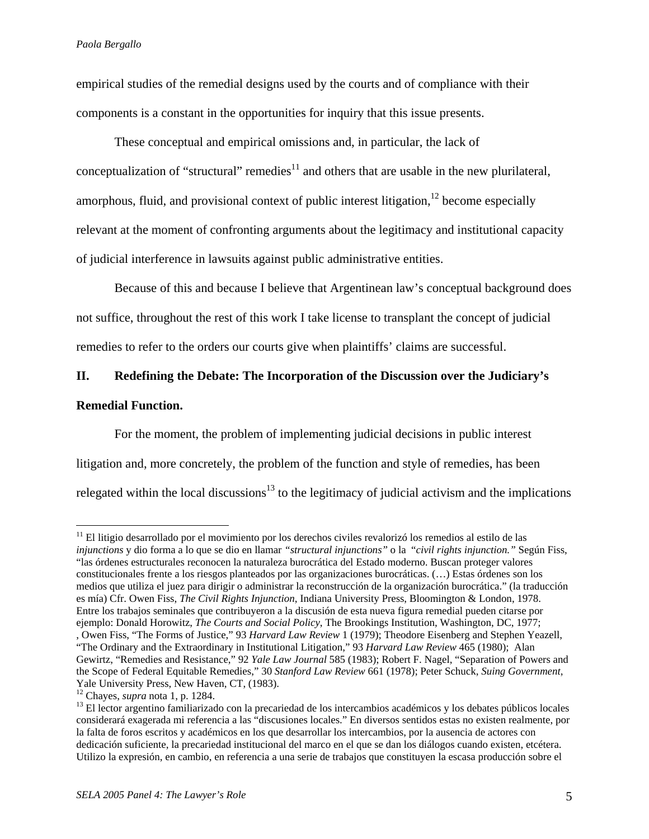empirical studies of the remedial designs used by the courts and of compliance with their components is a constant in the opportunities for inquiry that this issue presents.

 These conceptual and empirical omissions and, in particular, the lack of conceptualization of "structural" remedies<sup>11</sup> and others that are usable in the new plurilateral, amorphous, fluid, and provisional context of public interest litigation,  $^{12}$  become especially relevant at the moment of confronting arguments about the legitimacy and institutional capacity of judicial interference in lawsuits against public administrative entities.

Because of this and because I believe that Argentinean law's conceptual background does not suffice, throughout the rest of this work I take license to transplant the concept of judicial remedies to refer to the orders our courts give when plaintiffs' claims are successful.

# **II. Redefining the Debate: The Incorporation of the Discussion over the Judiciary's Remedial Function.**

For the moment, the problem of implementing judicial decisions in public interest litigation and, more concretely, the problem of the function and style of remedies, has been relegated within the local discussions<sup>13</sup> to the legitimacy of judicial activism and the implications

1

<sup>&</sup>lt;sup>11</sup> El litigio desarrollado por el movimiento por los derechos civiles revalorizó los remedios al estilo de las *injunctions* y dio forma a lo que se dio en llamar *"structural injunctions"* o la "*civil rights injunction."* Según Fiss, "las órdenes estructurales reconocen la naturaleza burocrática del Estado moderno. Buscan proteger valores constitucionales frente a los riesgos planteados por las organizaciones burocráticas. (…) Estas órdenes son los medios que utiliza el juez para dirigir o administrar la reconstrucción de la organización burocrática." (la traducción es mía) Cfr. Owen Fiss, *The Civil Rights Injunction*, Indiana University Press, Bloomington & London, 1978. Entre los trabajos seminales que contribuyeron a la discusión de esta nueva figura remedial pueden citarse por ejemplo: Donald Horowitz, *The Courts and Social Policy*, The Brookings Institution, Washington, DC, 1977; , Owen Fiss, "The Forms of Justice," 93 *Harvard Law Review* 1 (1979); Theodore Eisenberg and Stephen Yeazell, "The Ordinary and the Extraordinary in Institutional Litigation," 93 *Harvard Law Review* 465 (1980); Alan Gewirtz, "Remedies and Resistance," 92 *Yale Law Journal* 585 (1983); Robert F. Nagel, "Separation of Powers and the Scope of Federal Equitable Remedies," 30 *Stanford Law Review* 661 (1978); Peter Schuck, *Suing Government*,

Yale University Press, New Haven, CT, (1983).<br><sup>12</sup> Chayes, *supra* nota 1, p. 1284.

<sup>&</sup>lt;sup>13</sup> El lector argentino familiarizado con la precariedad de los intercambios académicos y los debates públicos locales considerará exagerada mi referencia a las "discusiones locales." En diversos sentidos estas no existen realmente, por la falta de foros escritos y académicos en los que desarrollar los intercambios, por la ausencia de actores con dedicación suficiente, la precariedad institucional del marco en el que se dan los diálogos cuando existen, etcétera. Utilizo la expresión, en cambio, en referencia a una serie de trabajos que constituyen la escasa producción sobre el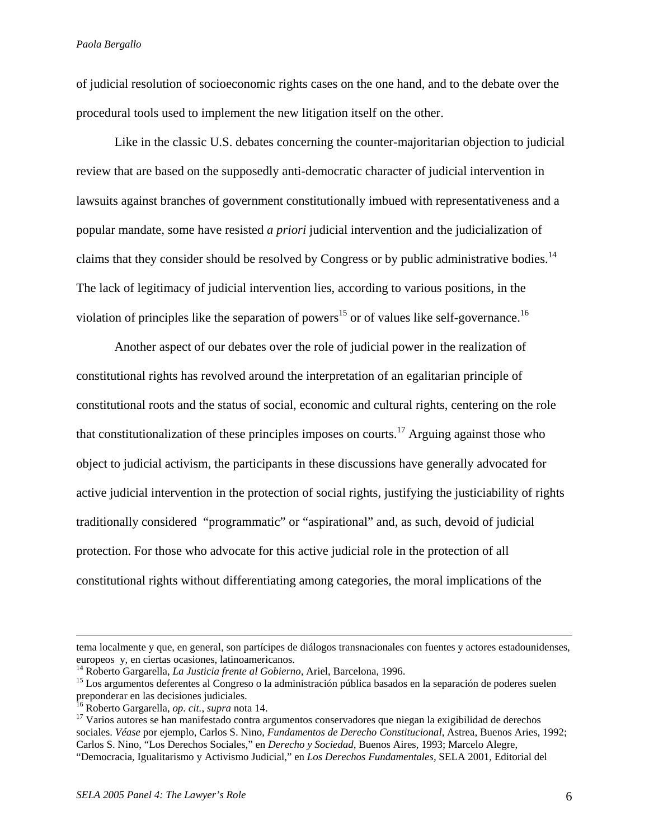of judicial resolution of socioeconomic rights cases on the one hand, and to the debate over the procedural tools used to implement the new litigation itself on the other.

Like in the classic U.S. debates concerning the counter-majoritarian objection to judicial review that are based on the supposedly anti-democratic character of judicial intervention in lawsuits against branches of government constitutionally imbued with representativeness and a popular mandate, some have resisted *a priori* judicial intervention and the judicialization of claims that they consider should be resolved by Congress or by public administrative bodies.<sup>14</sup> The lack of legitimacy of judicial intervention lies, according to various positions, in the violation of principles like the separation of powers<sup>15</sup> or of values like self-governance.<sup>16</sup>

 Another aspect of our debates over the role of judicial power in the realization of constitutional rights has revolved around the interpretation of an egalitarian principle of constitutional roots and the status of social, economic and cultural rights, centering on the role that constitutionalization of these principles imposes on courts.<sup>17</sup> Arguing against those who object to judicial activism, the participants in these discussions have generally advocated for active judicial intervention in the protection of social rights, justifying the justiciability of rights traditionally considered "programmatic" or "aspirational" and, as such, devoid of judicial protection. For those who advocate for this active judicial role in the protection of all constitutional rights without differentiating among categories, the moral implications of the

tema localmente y que, en general, son partícipes de diálogos transnacionales con fuentes y actores estadounidenses, europeos y, en ciertas ocasiones, latinoamericanos.<br><sup>14</sup> Roberto Gargarella, *La Justicia frente al Gobierno*, Ariel, Barcelona, 1996.

<sup>&</sup>lt;sup>15</sup> Los argumentos deferentes al Congreso o la administración pública basados en la separación de poderes suelen preponderar en las decisiones judiciales.<br><sup>16</sup> Roberto Gargarella, *op. cit.*, *supra* nota 14. <sup>17</sup> Varios autores autores autores se han manifestado contra argumentos conservadores que niegan la exigibilidad de derechos

sociales. *Véase* por ejemplo, Carlos S. Nino, *Fundamentos de Derecho Constitucional*, Astrea, Buenos Aries, 1992; Carlos S. Nino, "Los Derechos Sociales," en *Derecho y Sociedad,* Buenos Aires, 1993; Marcelo Alegre, "Democracia, Igualitarismo y Activismo Judicial," en *Los Derechos Fundamentales,* SELA 2001, Editorial del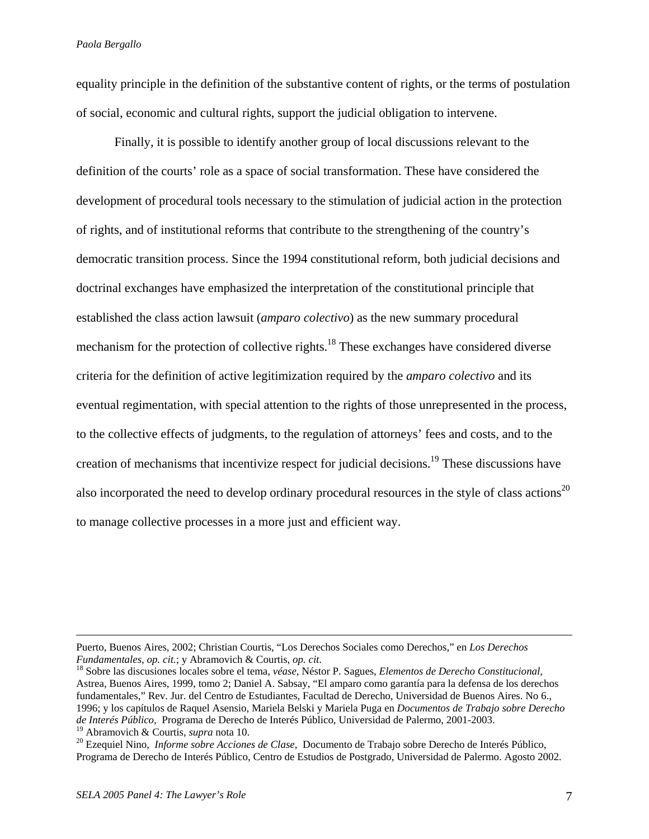equality principle in the definition of the substantive content of rights, or the terms of postulation of social, economic and cultural rights, support the judicial obligation to intervene.

Finally, it is possible to identify another group of local discussions relevant to the definition of the courts' role as a space of social transformation. These have considered the development of procedural tools necessary to the stimulation of judicial action in the protection of rights, and of institutional reforms that contribute to the strengthening of the country's democratic transition process. Since the 1994 constitutional reform, both judicial decisions and doctrinal exchanges have emphasized the interpretation of the constitutional principle that established the class action lawsuit (*amparo colectivo*) as the new summary procedural mechanism for the protection of collective rights.<sup>18</sup> These exchanges have considered diverse criteria for the definition of active legitimization required by the *amparo colectivo* and its eventual regimentation, with special attention to the rights of those unrepresented in the process, to the collective effects of judgments, to the regulation of attorneys' fees and costs, and to the creation of mechanisms that incentivize respect for judicial decisions.19 These discussions have also incorporated the need to develop ordinary procedural resources in the style of class actions<sup>20</sup> to manage collective processes in a more just and efficient way.

Puerto, Buenos Aires, 2002; Christian Courtis, "Los Derechos Sociales como Derechos," en *Los Derechos Fundamentales*, *op. cit.*; y Abramovich & Courtis, *op. cit*. 18 Sobre las discusiones locales sobre el tema, *véase*, Néstor P. Sagues, *Elementos de Derecho Constitucional*,

Astrea, Buenos Aires, 1999, tomo 2; Daniel A. Sabsay, "El amparo como garantía para la defensa de los derechos fundamentales," Rev. Jur. del Centro de Estudiantes, Facultad de Derecho, Universidad de Buenos Aires. No 6., 1996; y los capítulos de Raquel Asensio, Mariela Belski y Mariela Puga en *Documentos de Trabajo sobre Derecho de Interés Público*, Programa de Derecho de Interés Público, Universidad de Palermo, 2001-2003.

<sup>&</sup>lt;sup>20</sup> Ezequiel Nino, *Informe sobre Acciones de Clase*, Documento de Trabajo sobre Derecho de Interés Público, Programa de Derecho de Interés Público, Centro de Estudios de Postgrado, Universidad de Palermo. Agosto 2002.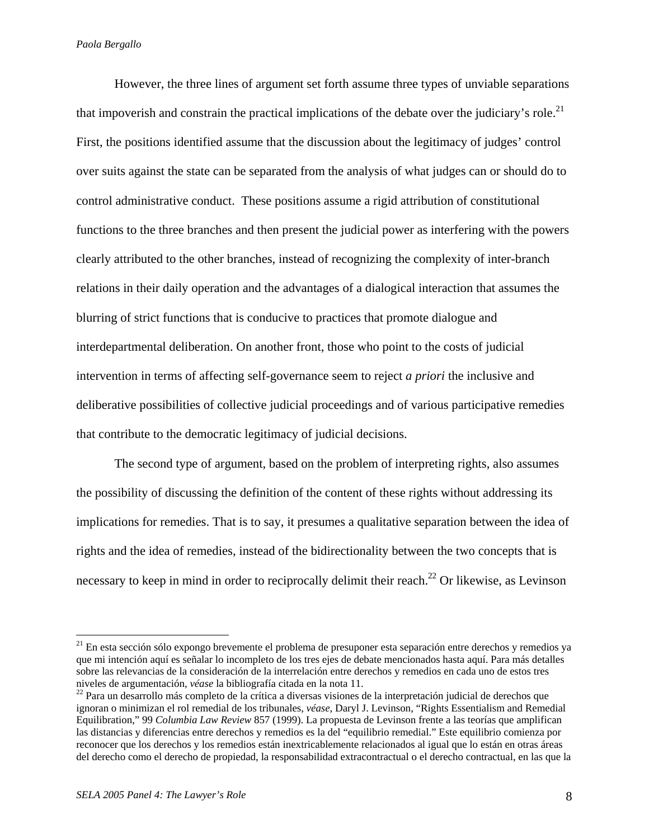However, the three lines of argument set forth assume three types of unviable separations that impoverish and constrain the practical implications of the debate over the judiciary's role.<sup>21</sup> First, the positions identified assume that the discussion about the legitimacy of judges' control over suits against the state can be separated from the analysis of what judges can or should do to control administrative conduct. These positions assume a rigid attribution of constitutional functions to the three branches and then present the judicial power as interfering with the powers clearly attributed to the other branches, instead of recognizing the complexity of inter-branch relations in their daily operation and the advantages of a dialogical interaction that assumes the blurring of strict functions that is conducive to practices that promote dialogue and interdepartmental deliberation. On another front, those who point to the costs of judicial intervention in terms of affecting self-governance seem to reject *a priori* the inclusive and deliberative possibilities of collective judicial proceedings and of various participative remedies that contribute to the democratic legitimacy of judicial decisions.

The second type of argument, based on the problem of interpreting rights, also assumes the possibility of discussing the definition of the content of these rights without addressing its implications for remedies. That is to say, it presumes a qualitative separation between the idea of rights and the idea of remedies, instead of the bidirectionality between the two concepts that is necessary to keep in mind in order to reciprocally delimit their reach.<sup>22</sup> Or likewise, as Levinson

 $21$  En esta sección sólo expongo brevemente el problema de presuponer esta separación entre derechos y remedios ya que mi intención aquí es señalar lo incompleto de los tres ejes de debate mencionados hasta aquí. Para más detalles sobre las relevancias de la consideración de la interrelación entre derechos y remedios en cada uno de estos tres niveles de argumentación, *véase* la bibliografía citada en la nota 11. 22 Para un desarrollo más completo de la crítica a diversas visiones de la interpretación judicial de derechos que

ignoran o minimizan el rol remedial de los tribunales, *véase*, Daryl J. Levinson, "Rights Essentialism and Remedial Equilibration," 99 *Columbia Law Review* 857 (1999). La propuesta de Levinson frente a las teorías que amplifican las distancias y diferencias entre derechos y remedios es la del "equilibrio remedial." Este equilibrio comienza por reconocer que los derechos y los remedios están inextricablemente relacionados al igual que lo están en otras áreas del derecho como el derecho de propiedad, la responsabilidad extracontractual o el derecho contractual, en las que la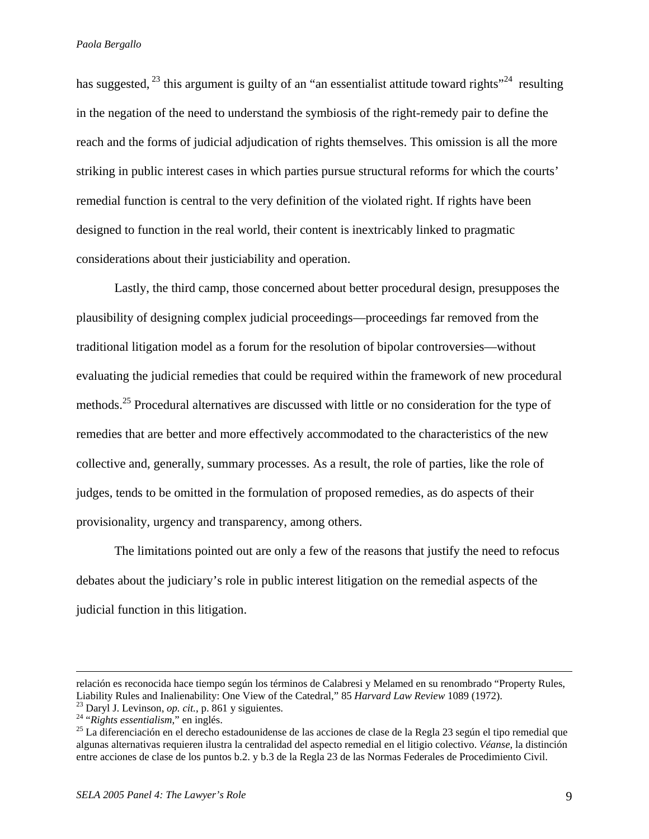has suggested,  $^{23}$  this argument is guilty of an "an essentialist attitude toward rights"<sup>24</sup> resulting in the negation of the need to understand the symbiosis of the right-remedy pair to define the reach and the forms of judicial adjudication of rights themselves. This omission is all the more striking in public interest cases in which parties pursue structural reforms for which the courts' remedial function is central to the very definition of the violated right. If rights have been designed to function in the real world, their content is inextricably linked to pragmatic considerations about their justiciability and operation.

Lastly, the third camp, those concerned about better procedural design, presupposes the plausibility of designing complex judicial proceedings—proceedings far removed from the traditional litigation model as a forum for the resolution of bipolar controversies—without evaluating the judicial remedies that could be required within the framework of new procedural methods.<sup>25</sup> Procedural alternatives are discussed with little or no consideration for the type of remedies that are better and more effectively accommodated to the characteristics of the new collective and, generally, summary processes. As a result, the role of parties, like the role of judges, tends to be omitted in the formulation of proposed remedies, as do aspects of their provisionality, urgency and transparency, among others.

The limitations pointed out are only a few of the reasons that justify the need to refocus debates about the judiciary's role in public interest litigation on the remedial aspects of the judicial function in this litigation.

relación es reconocida hace tiempo según los términos de Calabresi y Melamed en su renombrado "Property Rules, Liability Rules and Inalienability: One View of the Catedral," 85 Harvard Law Review 1089 (1972).<br><sup>23</sup> Daryl J. Levinson, *op. cit.*, p. 861 y siguientes.<br><sup>24</sup> "Rights essentialism," en inglés.<br><sup>25</sup> La diferenciación en el

algunas alternativas requieren ilustra la centralidad del aspecto remedial en el litigio colectivo. *Véanse*, la distinción entre acciones de clase de los puntos b.2. y b.3 de la Regla 23 de las Normas Federales de Procedimiento Civil.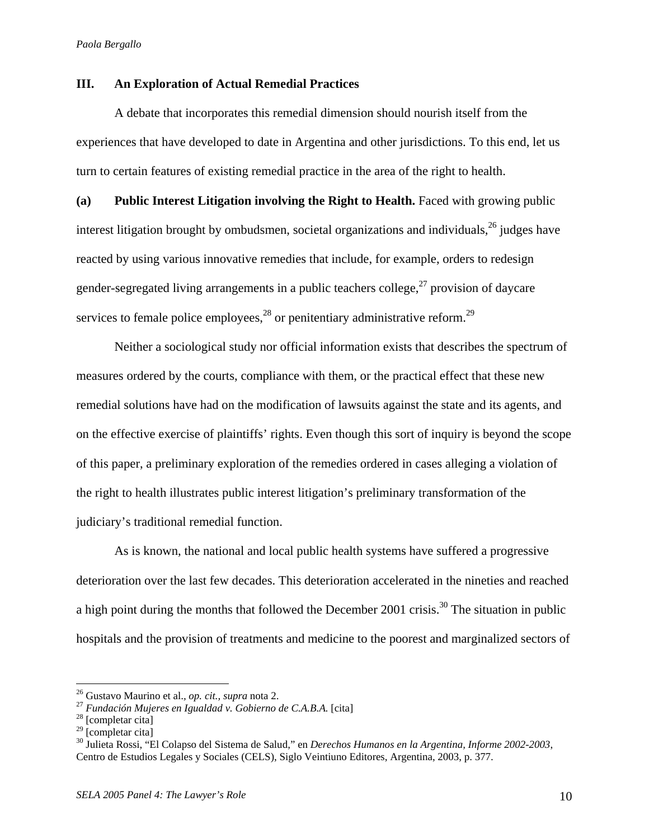# **III. An Exploration of Actual Remedial Practices**

A debate that incorporates this remedial dimension should nourish itself from the experiences that have developed to date in Argentina and other jurisdictions. To this end, let us turn to certain features of existing remedial practice in the area of the right to health.

**(a) Public Interest Litigation involving the Right to Health.** Faced with growing public interest litigation brought by ombudsmen, societal organizations and individuals,  $^{26}$  judges have reacted by using various innovative remedies that include, for example, orders to redesign gender-segregated living arrangements in a public teachers college,  $27$  provision of daycare services to female police employees, $^{28}$  or penitentiary administrative reform.<sup>29</sup>

 Neither a sociological study nor official information exists that describes the spectrum of measures ordered by the courts, compliance with them, or the practical effect that these new remedial solutions have had on the modification of lawsuits against the state and its agents, and on the effective exercise of plaintiffs' rights. Even though this sort of inquiry is beyond the scope of this paper, a preliminary exploration of the remedies ordered in cases alleging a violation of the right to health illustrates public interest litigation's preliminary transformation of the judiciary's traditional remedial function.

As is known, the national and local public health systems have suffered a progressive deterioration over the last few decades. This deterioration accelerated in the nineties and reached a high point during the months that followed the December 2001 crisis.<sup>30</sup> The situation in public hospitals and the provision of treatments and medicine to the poorest and marginalized sectors of

<sup>&</sup>lt;sup>26</sup> Gustavo Maurino et al., *op. cit., supra* nota 2.<br><sup>27</sup> *Fundación Mujeres en Igualdad v. Gobierno de C.A.B.A.* [cita] <sup>28</sup> [completar cita]

 $29$  [completar cita]

<sup>30</sup> Julieta Rossi, "El Colapso del Sistema de Salud," en *Derechos Humanos en la Argentina, Informe 2002-2003*, Centro de Estudios Legales y Sociales (CELS), Siglo Veintiuno Editores, Argentina, 2003, p. 377.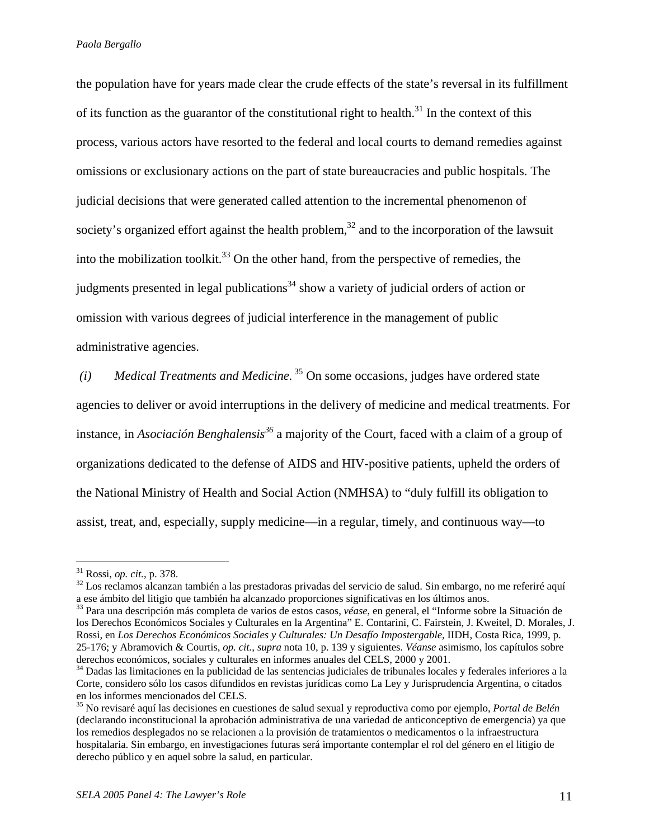the population have for years made clear the crude effects of the state's reversal in its fulfillment of its function as the guarantor of the constitutional right to health. $31$  In the context of this process, various actors have resorted to the federal and local courts to demand remedies against omissions or exclusionary actions on the part of state bureaucracies and public hospitals. The judicial decisions that were generated called attention to the incremental phenomenon of society's organized effort against the health problem, $32$  and to the incorporation of the lawsuit into the mobilization toolkit.<sup>33</sup> On the other hand, from the perspective of remedies, the judgments presented in legal publications<sup>34</sup> show a variety of judicial orders of action or omission with various degrees of judicial interference in the management of public administrative agencies.

 *(i) Medical Treatments and Medicine.* 35 On some occasions, judges have ordered state agencies to deliver or avoid interruptions in the delivery of medicine and medical treatments. For instance, in *Asociación Benghalensis*<sup>36</sup> a majority of the Court, faced with a claim of a group of organizations dedicated to the defense of AIDS and HIV-positive patients, upheld the orders of the National Ministry of Health and Social Action (NMHSA) to "duly fulfill its obligation to assist, treat, and, especially, supply medicine—in a regular, timely, and continuous way—to

<sup>&</sup>lt;sup>31</sup> Rossi, *op. cit.*, p. 378.<br><sup>32</sup> Los reclamos alcanzan también a las prestadoras privadas del servicio de salud. Sin embargo, no me referiré aquí a ese ámbito del litigio que también ha alcanzado proporciones significativas en los últimos anos.

<sup>33</sup> Para una descripción más completa de varios de estos casos, *véase*, en general, el "Informe sobre la Situación de los Derechos Económicos Sociales y Culturales en la Argentina" E. Contarini, C. Fairstein, J. Kweitel, D. Morales, J. Rossi, en *Los Derechos Económicos Sociales y Culturales: Un Desafío Impostergable,* IIDH, Costa Rica, 1999, p. 25-176; y Abramovich & Courtis, *op. cit.*, *supra* nota 10, p. 139 y siguientes. *Véanse* asimismo, los capítulos sobre derechos económicos, sociales y culturales en informes anuales del CELS, 2000 y 2001.

<sup>34</sup> Dadas las limitaciones en la publicidad de las sentencias judiciales de tribunales locales y federales inferiores a la Corte, considero sólo los casos difundidos en revistas jurídicas como La Ley y Jurisprudencia Argentina, o citados en los informes mencionados del CELS.

<sup>35</sup> No revisaré aquí las decisiones en cuestiones de salud sexual y reproductiva como por ejemplo, *Portal de Belén*  (declarando inconstitucional la aprobación administrativa de una variedad de anticonceptivo de emergencia) ya que los remedios desplegados no se relacionen a la provisión de tratamientos o medicamentos o la infraestructura hospitalaria. Sin embargo, en investigaciones futuras será importante contemplar el rol del género en el litigio de derecho público y en aquel sobre la salud, en particular.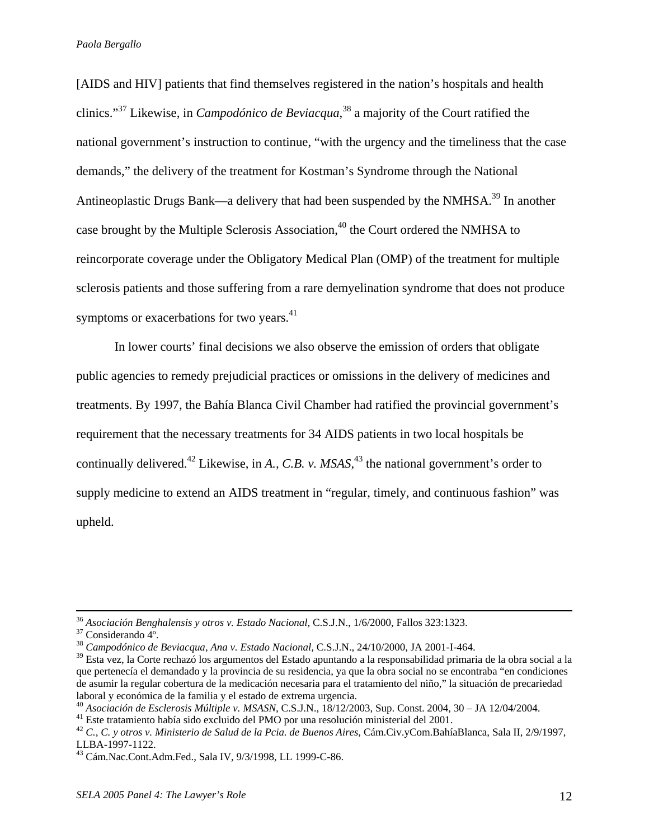[AIDS and HIV] patients that find themselves registered in the nation's hospitals and health clinics."37 Likewise, in *Campodónico de Beviacqua*, 38 a majority of the Court ratified the national government's instruction to continue, "with the urgency and the timeliness that the case demands," the delivery of the treatment for Kostman's Syndrome through the National Antineoplastic Drugs Bank—a delivery that had been suspended by the NMHSA.<sup>39</sup> In another case brought by the Multiple Sclerosis Association,<sup>40</sup> the Court ordered the NMHSA to reincorporate coverage under the Obligatory Medical Plan (OMP) of the treatment for multiple sclerosis patients and those suffering from a rare demyelination syndrome that does not produce symptoms or exacerbations for two years.<sup>41</sup>

In lower courts' final decisions we also observe the emission of orders that obligate public agencies to remedy prejudicial practices or omissions in the delivery of medicines and treatments. By 1997, the Bahía Blanca Civil Chamber had ratified the provincial government's requirement that the necessary treatments for 34 AIDS patients in two local hospitals be continually delivered.42 Likewise, in *A., C.B. v. MSAS*, 43 the national government's order to supply medicine to extend an AIDS treatment in "regular, timely, and continuous fashion" was upheld.

<sup>36</sup> *Asociación Benghalensis y otros v. Estado Nacional,* C.S.J.N., 1/6/2000, Fallos 323:1323. 37 Considerando 4º.

<sup>38</sup> *Campodónico de Beviacqua, Ana v. Estado Nacional,* C.S.J.N., 24/10/2000, JA 2001-I-464.

 $39$  Esta vez, la Corte rechazó los argumentos del Estado apuntando a la responsabilidad primaria de la obra social a la que pertenecía el demandado y la provincia de su residencia, ya que la obra social no se encontraba "en condiciones de asumir la regular cobertura de la medicación necesaria para el tratamiento del niño," la situación de precariedad laboral y económica de la familia y el estado de extrema urgencia.

<sup>&</sup>lt;sup>40</sup> Asociación de Esclerosis Múltiple v. MSASN, C.S.J.N., 18/12/2003, Sup. Const. 2004, 30 – JA 12/04/2004.<br><sup>41</sup> Este tratamiento había sido excluido del PMO por una resolución ministerial del 2001.

<sup>42</sup> *C., C. y otros v. Ministerio de Salud de la Pcia. de Buenos Aires*, Cám.Civ.yCom.BahíaBlanca, Sala II, 2/9/1997, LLBA-1997-1122.

<sup>43</sup> Cám.Nac.Cont.Adm.Fed., Sala IV, 9/3/1998, LL 1999-C-86.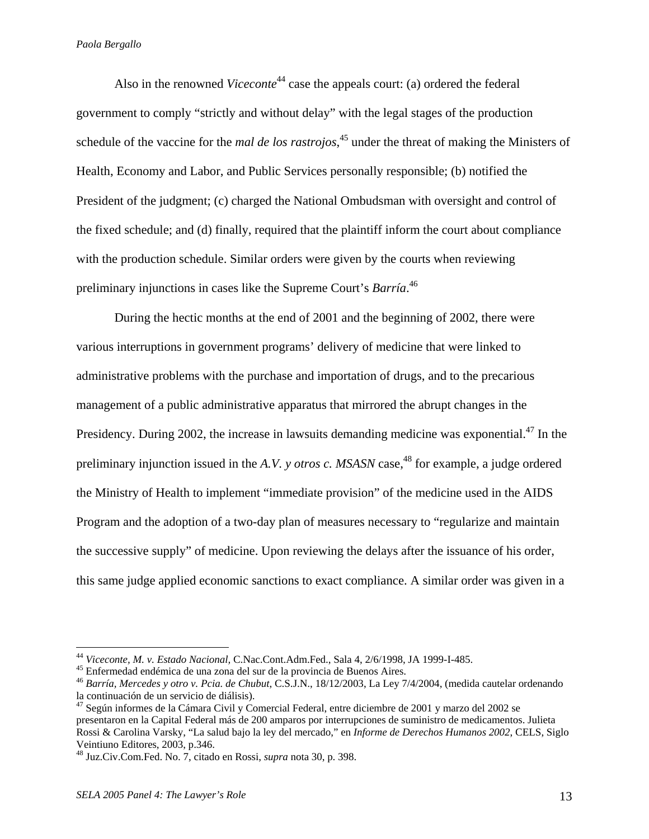Also in the renowned *Viceconte*<sup>44</sup> case the appeals court: (a) ordered the federal government to comply "strictly and without delay" with the legal stages of the production schedule of the vaccine for the *mal de los rastrojos*, 45 under the threat of making the Ministers of Health, Economy and Labor, and Public Services personally responsible; (b) notified the President of the judgment; (c) charged the National Ombudsman with oversight and control of the fixed schedule; and (d) finally, required that the plaintiff inform the court about compliance with the production schedule. Similar orders were given by the courts when reviewing preliminary injunctions in cases like the Supreme Court's *Barría*. 46

 During the hectic months at the end of 2001 and the beginning of 2002, there were various interruptions in government programs' delivery of medicine that were linked to administrative problems with the purchase and importation of drugs, and to the precarious management of a public administrative apparatus that mirrored the abrupt changes in the Presidency. During 2002, the increase in lawsuits demanding medicine was exponential.<sup>47</sup> In the preliminary injunction issued in the *A.V.* y *otros c. MSASN* case,<sup>48</sup> for example, a judge ordered the Ministry of Health to implement "immediate provision" of the medicine used in the AIDS Program and the adoption of a two-day plan of measures necessary to "regularize and maintain the successive supply" of medicine. Upon reviewing the delays after the issuance of his order, this same judge applied economic sanctions to exact compliance. A similar order was given in a

<sup>&</sup>lt;sup>44</sup> Viceconte, M. v. Estado Nacional, C.Nac.Cont.Adm.Fed., Sala 4, 2/6/1998, JA 1999-I-485.

<sup>&</sup>lt;sup>45</sup> Enfermedad endémica de una zona del sur de la provincia de Buenos Aires.

<sup>46</sup> *Barría, Mercedes y otro v. Pcia. de Chubut*, C.S.J.N., 18/12/2003, La Ley 7/4/2004, (medida cautelar ordenando la continuación de un servicio de diálisis).

<sup>&</sup>lt;sup>47</sup> Según informes de la Cámara Civil y Comercial Federal, entre diciembre de 2001 y marzo del 2002 se presentaron en la Capital Federal más de 200 amparos por interrupciones de suministro de medicamentos. Julieta Rossi & Carolina Varsky, "La salud bajo la ley del mercado," en *Informe de Derechos Humanos 2002*, CELS, Siglo Veintiuno Editores, 2003, p.346.

<sup>48</sup> Juz.Civ.Com.Fed. No. 7, citado en Rossi, *supra* nota 30, p. 398.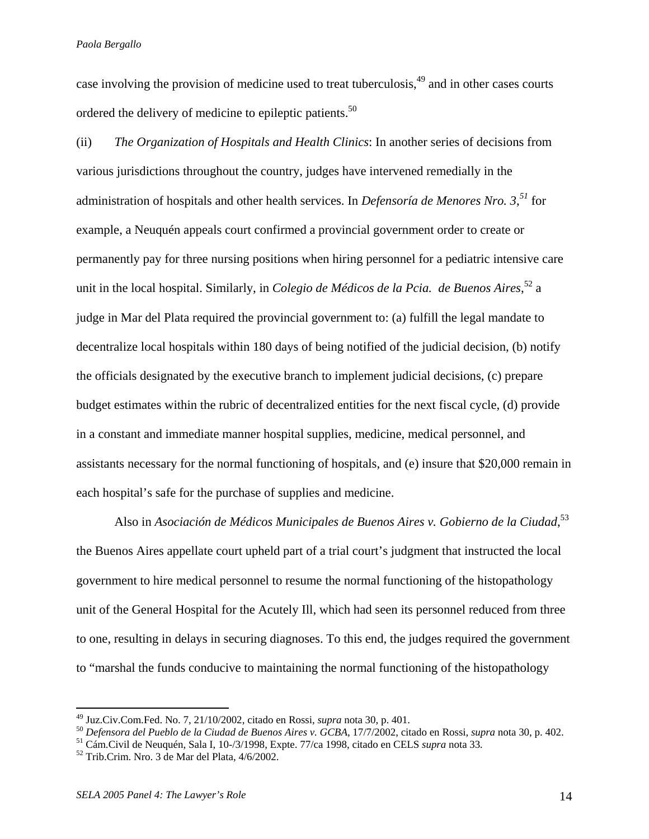case involving the provision of medicine used to treat tuberculosis,<sup>49</sup> and in other cases courts ordered the delivery of medicine to epileptic patients.<sup>50</sup>

(ii) *The Organization of Hospitals and Health Clinics*: In another series of decisions from various jurisdictions throughout the country, judges have intervened remedially in the administration of hospitals and other health services. In *Defensoría de Menores Nro. 3*, *<sup>51</sup>* for example, a Neuquén appeals court confirmed a provincial government order to create or permanently pay for three nursing positions when hiring personnel for a pediatric intensive care unit in the local hospital. Similarly, in *Colegio de Médicos de la Pcia. de Buenos Aires*, 52 a judge in Mar del Plata required the provincial government to: (a) fulfill the legal mandate to decentralize local hospitals within 180 days of being notified of the judicial decision, (b) notify the officials designated by the executive branch to implement judicial decisions, (c) prepare budget estimates within the rubric of decentralized entities for the next fiscal cycle, (d) provide in a constant and immediate manner hospital supplies, medicine, medical personnel, and assistants necessary for the normal functioning of hospitals, and (e) insure that \$20,000 remain in each hospital's safe for the purchase of supplies and medicine.

Also in *Asociación de Médicos Municipales de Buenos Aires v. Gobierno de la Ciudad*, 53 the Buenos Aires appellate court upheld part of a trial court's judgment that instructed the local government to hire medical personnel to resume the normal functioning of the histopathology unit of the General Hospital for the Acutely Ill, which had seen its personnel reduced from three to one, resulting in delays in securing diagnoses. To this end, the judges required the government to "marshal the funds conducive to maintaining the normal functioning of the histopathology

 $49 \text{ Juz.Civ.}$ Com.Fed. No. 7, 21/10/2002, citado en Rossi, *supra* nota 30, p. 401.

<sup>&</sup>lt;sup>50</sup> Defensora del Pueblo de la Ciudad de Buenos Aires v. GCBA, 17/7/2002, citado en Rossi, supra nota 30, p. 402.<br><sup>51</sup> Cám.Civil de Neuquén, Sala I, 10-/3/1998, Expte. 77/ca 1998, citado en CELS *supra* nota 33.<br><sup>52</sup> Tri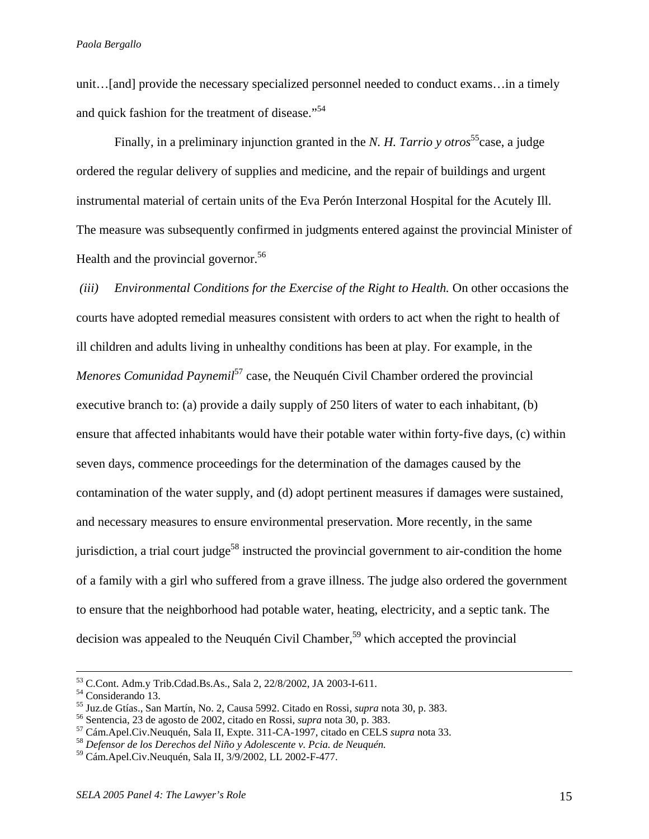unit…[and] provide the necessary specialized personnel needed to conduct exams…in a timely and quick fashion for the treatment of disease."<sup>54</sup>

Finally, in a preliminary injunction granted in the *N. H. Tarrio y otros*<sup>55</sup>case, a judge ordered the regular delivery of supplies and medicine, and the repair of buildings and urgent instrumental material of certain units of the Eva Perón Interzonal Hospital for the Acutely Ill. The measure was subsequently confirmed in judgments entered against the provincial Minister of Health and the provincial governor.<sup>56</sup>

*(iii)* Environmental Conditions for the Exercise of the Right to Health. On other occasions the courts have adopted remedial measures consistent with orders to act when the right to health of ill children and adults living in unhealthy conditions has been at play. For example, in the *Menores Comunidad Paynemil*<sup>57</sup> case, the Neuquén Civil Chamber ordered the provincial executive branch to: (a) provide a daily supply of 250 liters of water to each inhabitant, (b) ensure that affected inhabitants would have their potable water within forty-five days, (c) within seven days, commence proceedings for the determination of the damages caused by the contamination of the water supply, and (d) adopt pertinent measures if damages were sustained, and necessary measures to ensure environmental preservation. More recently, in the same jurisdiction, a trial court judge<sup>58</sup> instructed the provincial government to air-condition the home of a family with a girl who suffered from a grave illness. The judge also ordered the government to ensure that the neighborhood had potable water, heating, electricity, and a septic tank. The decision was appealed to the Neuquén Civil Chamber,<sup>59</sup> which accepted the provincial

 <sup>53</sup> C.Cont. Adm.y Trib.Cdad.Bs.As., Sala 2, 22/8/2002, JA 2003-I-611. 54 Considerando 13.

<sup>&</sup>lt;sup>55</sup> Juz.de Gtías., San Martín, No. 2, Causa 5992. Citado en Rossi, *supra* nota 30, p. 383.<br><sup>56</sup> Sentencia, 23 de agosto de 2002, citado en Rossi, *supra* nota 30, p. 383.<br><sup>57</sup> Cám.Apel.Civ.Neuquén, Sala II, Expte. 311-C

<sup>59</sup> Cám.Apel.Civ.Neuquén, Sala II, 3/9/2002, LL 2002-F-477.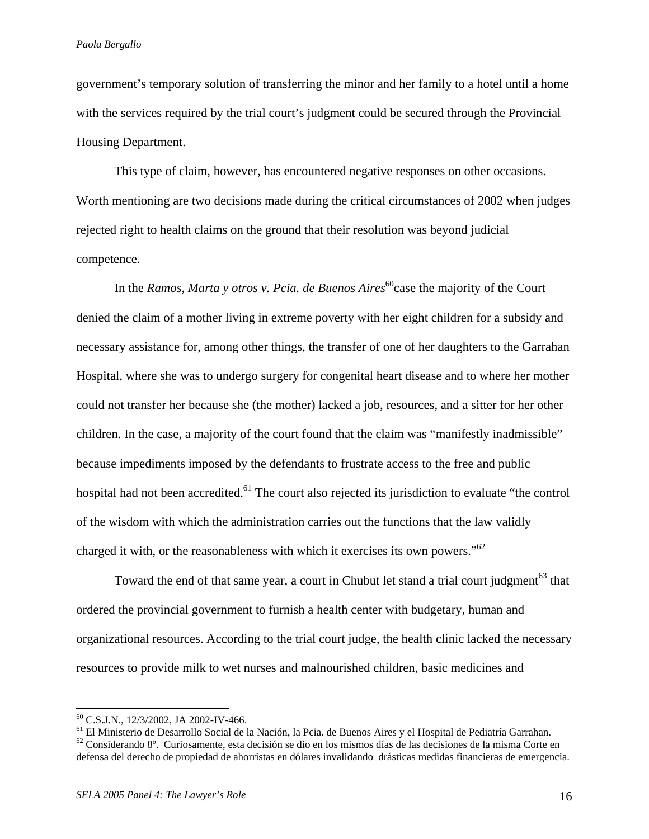government's temporary solution of transferring the minor and her family to a hotel until a home with the services required by the trial court's judgment could be secured through the Provincial Housing Department.

 This type of claim, however, has encountered negative responses on other occasions. Worth mentioning are two decisions made during the critical circumstances of 2002 when judges rejected right to health claims on the ground that their resolution was beyond judicial competence.

In the *Ramos, Marta y otros v. Pcia. de Buenos Aires*<sup>60</sup>case the majority of the Court denied the claim of a mother living in extreme poverty with her eight children for a subsidy and necessary assistance for, among other things, the transfer of one of her daughters to the Garrahan Hospital, where she was to undergo surgery for congenital heart disease and to where her mother could not transfer her because she (the mother) lacked a job, resources, and a sitter for her other children. In the case, a majority of the court found that the claim was "manifestly inadmissible" because impediments imposed by the defendants to frustrate access to the free and public hospital had not been accredited.<sup>61</sup> The court also rejected its jurisdiction to evaluate "the control" of the wisdom with which the administration carries out the functions that the law validly charged it with, or the reasonableness with which it exercises its own powers." $62$ 

Toward the end of that same year, a court in Chubut let stand a trial court judgment<sup>63</sup> that ordered the provincial government to furnish a health center with budgetary, human and organizational resources. According to the trial court judge, the health clinic lacked the necessary resources to provide milk to wet nurses and malnourished children, basic medicines and

1

<sup>60</sup> C.S.J.N., 12/3/2002, JA 2002-IV-466.

<sup>61</sup> El Ministerio de Desarrollo Social de la Nación, la Pcia. de Buenos Aires y el Hospital de Pediatría Garrahan.

 $62$  Considerando 8°. Curiosamente, esta decisión se dio en los mismos días de las decisiones de la misma Corte en defensa del derecho de propiedad de ahorristas en dólares invalidando drásticas medidas financieras de emergencia.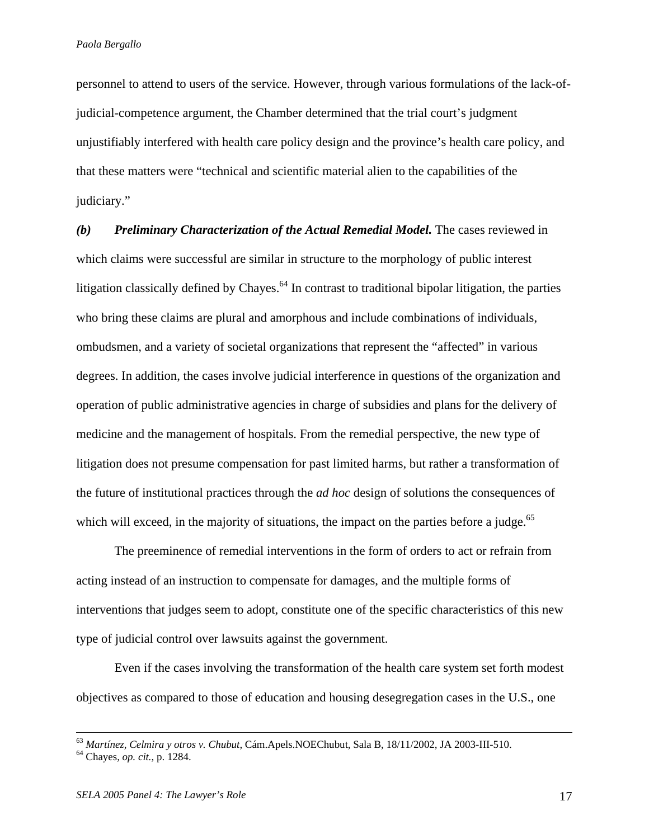personnel to attend to users of the service. However, through various formulations of the lack-ofjudicial-competence argument, the Chamber determined that the trial court's judgment unjustifiably interfered with health care policy design and the province's health care policy, and that these matters were "technical and scientific material alien to the capabilities of the judiciary."

*(b) Preliminary Characterization of the Actual Remedial Model.* The cases reviewed in which claims were successful are similar in structure to the morphology of public interest litigation classically defined by Chayes.<sup>64</sup> In contrast to traditional bipolar litigation, the parties who bring these claims are plural and amorphous and include combinations of individuals, ombudsmen, and a variety of societal organizations that represent the "affected" in various degrees. In addition, the cases involve judicial interference in questions of the organization and operation of public administrative agencies in charge of subsidies and plans for the delivery of medicine and the management of hospitals. From the remedial perspective, the new type of litigation does not presume compensation for past limited harms, but rather a transformation of the future of institutional practices through the *ad hoc* design of solutions the consequences of which will exceed, in the majority of situations, the impact on the parties before a judge.<sup>65</sup>

 The preeminence of remedial interventions in the form of orders to act or refrain from acting instead of an instruction to compensate for damages, and the multiple forms of interventions that judges seem to adopt, constitute one of the specific characteristics of this new type of judicial control over lawsuits against the government.

Even if the cases involving the transformation of the health care system set forth modest objectives as compared to those of education and housing desegregation cases in the U.S., one

<sup>63</sup> *Martínez, Celmira y otros v. Chubut*, Cám.Apels.NOEChubut, Sala B, 18/11/2002, JA 2003-III-510. 64 Chayes, *op. cit.*, p. 1284.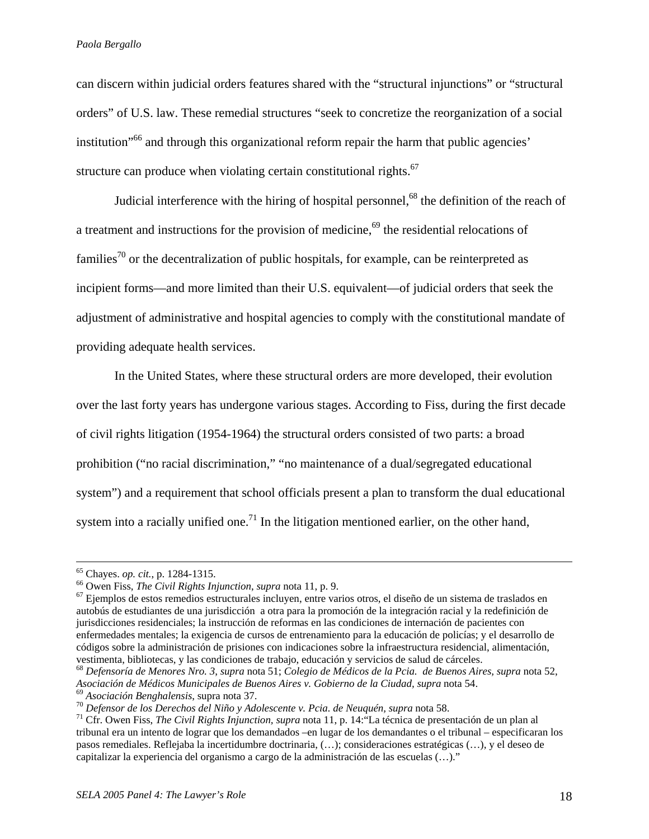can discern within judicial orders features shared with the "structural injunctions" or "structural orders" of U.S. law. These remedial structures "seek to concretize the reorganization of a social institution"66 and through this organizational reform repair the harm that public agencies' structure can produce when violating certain constitutional rights.<sup>67</sup>

Judicial interference with the hiring of hospital personnel,<sup>68</sup> the definition of the reach of a treatment and instructions for the provision of medicine,<sup>69</sup> the residential relocations of families<sup>70</sup> or the decentralization of public hospitals, for example, can be reinterpreted as incipient forms—and more limited than their U.S. equivalent—of judicial orders that seek the adjustment of administrative and hospital agencies to comply with the constitutional mandate of providing adequate health services.

In the United States, where these structural orders are more developed, their evolution over the last forty years has undergone various stages. According to Fiss, during the first decade of civil rights litigation (1954-1964) the structural orders consisted of two parts: a broad prohibition ("no racial discrimination," "no maintenance of a dual/segregated educational system") and a requirement that school officials present a plan to transform the dual educational system into a racially unified one.<sup>71</sup> In the litigation mentioned earlier, on the other hand,

<sup>&</sup>lt;sup>65</sup> Chayes. *op. cit.*, p. 1284-1315.<br><sup>66</sup> Owen Fiss, *The Civil Rights Injunction, supra* nota 11, p. 9.<br><sup>67</sup> Eiemplos de estos remedios estructurales incluyen, entre varios otros, el diseño de un sistema de traslados e autobús de estudiantes de una jurisdicción a otra para la promoción de la integración racial y la redefinición de jurisdicciones residenciales; la instrucción de reformas en las condiciones de internación de pacientes con enfermedades mentales; la exigencia de cursos de entrenamiento para la educación de policías; y el desarrollo de códigos sobre la administración de prisiones con indicaciones sobre la infraestructura residencial, alimentación, vestimenta, bibliotecas, y las condiciones de trabajo, educación y servicios de salud de cárceles.<br><sup>68</sup> Defensoría de Menores Nro. 3, supra nota 51; Colegio de Médicos de la Pcia. de Buenos Aires, supra nota 52,

Asociación de Médicos Municipales de Buenos Aires v. Gobierno de la Ciudad, supra nota 54.<br><sup>69</sup> Asociación Benghalensis, supra nota 37.<br><sup>70</sup> Defensor de los Derechos del Niño y Adolescente v. Pcia. de Neuquén, supra nota 5

tribunal era un intento de lograr que los demandados –en lugar de los demandantes o el tribunal – especificaran los pasos remediales. Reflejaba la incertidumbre doctrinaria, (…); consideraciones estratégicas (…), y el deseo de capitalizar la experiencia del organismo a cargo de la administración de las escuelas (…)."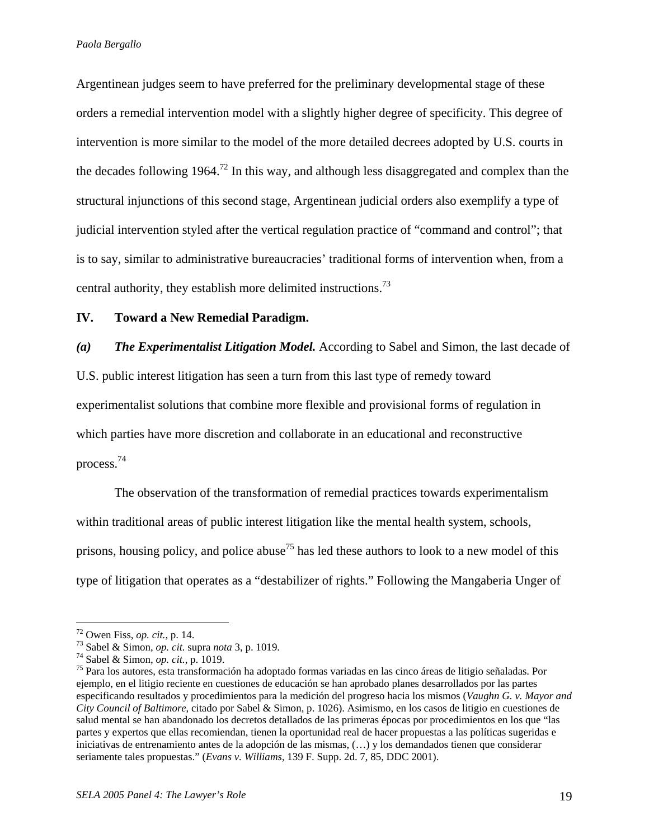Argentinean judges seem to have preferred for the preliminary developmental stage of these orders a remedial intervention model with a slightly higher degree of specificity. This degree of intervention is more similar to the model of the more detailed decrees adopted by U.S. courts in the decades following 1964.<sup>72</sup> In this way, and although less disaggregated and complex than the structural injunctions of this second stage, Argentinean judicial orders also exemplify a type of judicial intervention styled after the vertical regulation practice of "command and control"; that is to say, similar to administrative bureaucracies' traditional forms of intervention when, from a central authority, they establish more delimited instructions.<sup>73</sup>

# **IV. Toward a New Remedial Paradigm.**

*(a) The Experimentalist Litigation Model.* According to Sabel and Simon, the last decade of U.S. public interest litigation has seen a turn from this last type of remedy toward experimentalist solutions that combine more flexible and provisional forms of regulation in which parties have more discretion and collaborate in an educational and reconstructive

process.74

1

 The observation of the transformation of remedial practices towards experimentalism within traditional areas of public interest litigation like the mental health system, schools, prisons, housing policy, and police abuse<sup>75</sup> has led these authors to look to a new model of this type of litigation that operates as a "destabilizer of rights." Following the Mangaberia Unger of

<sup>&</sup>lt;sup>72</sup> Owen Fiss, *op. cit.*, p. 14.<br><sup>73</sup> Sabel & Simon, *op. cit.* supra *nota* 3, p. 1019.<br><sup>74</sup> Sabel & Simon, *op. cit.*, p. 1019.<br><sup>75</sup> Para los autores, esta transformación ha adoptado formas variadas en las cinco áreas ejemplo, en el litigio reciente en cuestiones de educación se han aprobado planes desarrollados por las partes especificando resultados y procedimientos para la medición del progreso hacia los mismos (*Vaughn G. v. Mayor and City Council of Baltimore*, citado por Sabel & Simon, p. 1026). Asimismo, en los casos de litigio en cuestiones de salud mental se han abandonado los decretos detallados de las primeras épocas por procedimientos en los que "las partes y expertos que ellas recomiendan, tienen la oportunidad real de hacer propuestas a las políticas sugeridas e iniciativas de entrenamiento antes de la adopción de las mismas, (…) y los demandados tienen que considerar seriamente tales propuestas." (*Evans v. Williams*, 139 F. Supp. 2d. 7, 85, DDC 2001).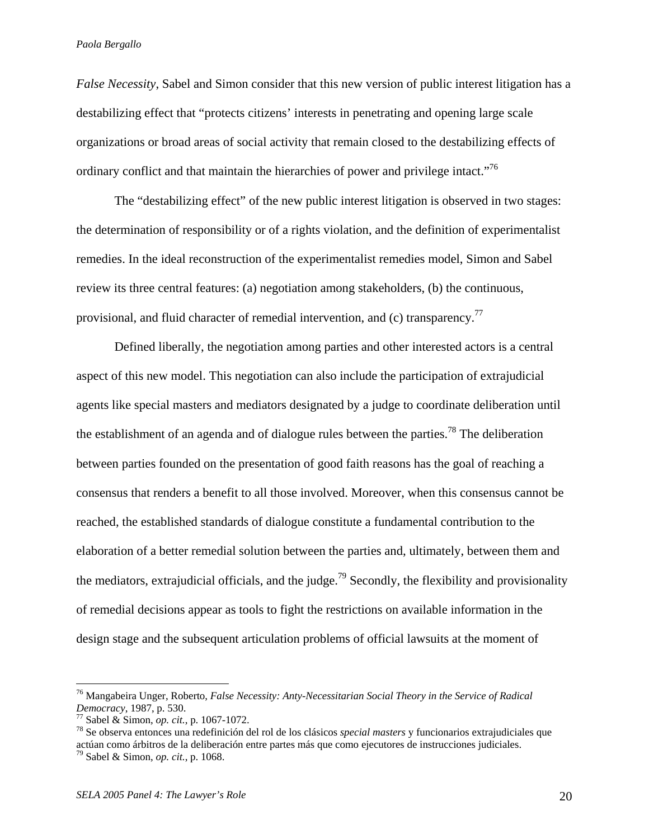*False Necessity*, Sabel and Simon consider that this new version of public interest litigation has a destabilizing effect that "protects citizens' interests in penetrating and opening large scale organizations or broad areas of social activity that remain closed to the destabilizing effects of ordinary conflict and that maintain the hierarchies of power and privilege intact.<sup>76</sup>

The "destabilizing effect" of the new public interest litigation is observed in two stages: the determination of responsibility or of a rights violation, and the definition of experimentalist remedies. In the ideal reconstruction of the experimentalist remedies model, Simon and Sabel review its three central features: (a) negotiation among stakeholders, (b) the continuous, provisional, and fluid character of remedial intervention, and (c) transparency.<sup>77</sup>

 Defined liberally, the negotiation among parties and other interested actors is a central aspect of this new model. This negotiation can also include the participation of extrajudicial agents like special masters and mediators designated by a judge to coordinate deliberation until the establishment of an agenda and of dialogue rules between the parties.<sup>78</sup> The deliberation between parties founded on the presentation of good faith reasons has the goal of reaching a consensus that renders a benefit to all those involved. Moreover, when this consensus cannot be reached, the established standards of dialogue constitute a fundamental contribution to the elaboration of a better remedial solution between the parties and, ultimately, between them and the mediators, extrajudicial officials, and the judge.<sup>79</sup> Secondly, the flexibility and provisionality of remedial decisions appear as tools to fight the restrictions on available information in the design stage and the subsequent articulation problems of official lawsuits at the moment of

<sup>&</sup>lt;sup>76</sup> Mangabeira Unger, Roberto, *False Necessity: Anty-Necessitarian Social Theory in the Service of Radical Democracy*, 1987, p. 530.<br>*Pemocracy*, 1987, p. 530.<br><sup>77</sup> Sabel & Simon, *op. cit.*, p. 1067-1072.

<sup>&</sup>lt;sup>78</sup> Se observa entonces una redefinición del rol de los clásicos *special masters* y funcionarios extrajudiciales que actúan como árbitros de la deliberación entre partes más que como ejecutores de instrucciones judiciales. 79 Sabel & Simon, *op. cit.*, p. 1068.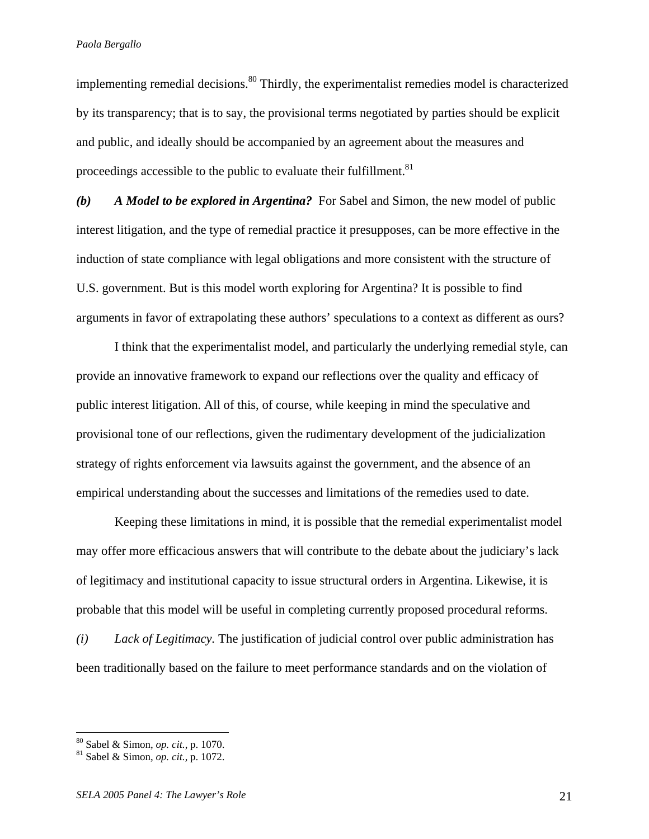implementing remedial decisions.<sup>80</sup> Thirdly, the experimentalist remedies model is characterized by its transparency; that is to say, the provisional terms negotiated by parties should be explicit and public, and ideally should be accompanied by an agreement about the measures and proceedings accessible to the public to evaluate their fulfillment.<sup>81</sup>

*(b) A Model to be explored in Argentina?* For Sabel and Simon, the new model of public interest litigation, and the type of remedial practice it presupposes, can be more effective in the induction of state compliance with legal obligations and more consistent with the structure of U.S. government. But is this model worth exploring for Argentina? It is possible to find arguments in favor of extrapolating these authors' speculations to a context as different as ours?

 I think that the experimentalist model, and particularly the underlying remedial style, can provide an innovative framework to expand our reflections over the quality and efficacy of public interest litigation. All of this, of course, while keeping in mind the speculative and provisional tone of our reflections, given the rudimentary development of the judicialization strategy of rights enforcement via lawsuits against the government, and the absence of an empirical understanding about the successes and limitations of the remedies used to date.

Keeping these limitations in mind, it is possible that the remedial experimentalist model may offer more efficacious answers that will contribute to the debate about the judiciary's lack of legitimacy and institutional capacity to issue structural orders in Argentina. Likewise, it is probable that this model will be useful in completing currently proposed procedural reforms. *(i) Lack of Legitimacy.* The justification of judicial control over public administration has been traditionally based on the failure to meet performance standards and on the violation of

<sup>80</sup> Sabel & Simon, *op. cit.*, p. 1070. 81 Sabel & Simon, *op. cit.*, p. 1072.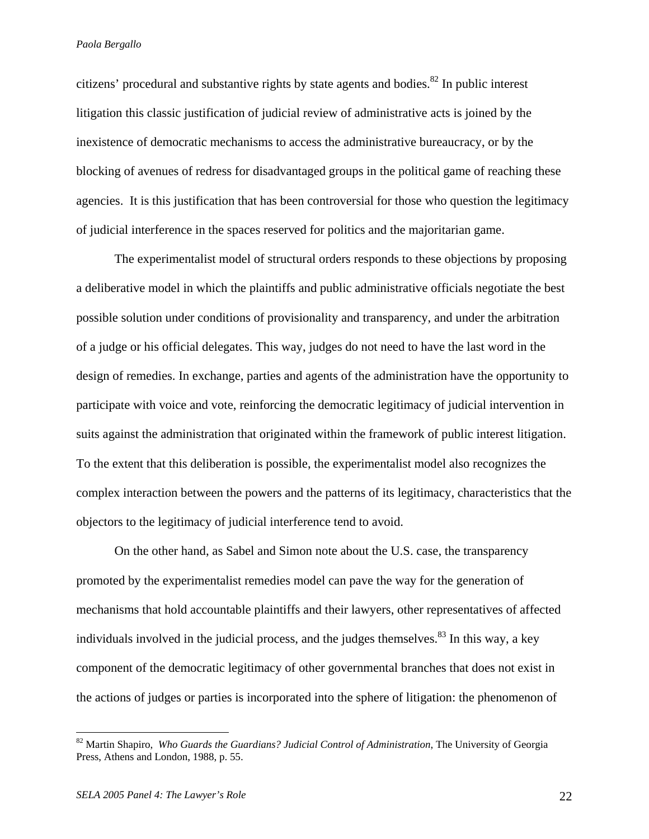citizens' procedural and substantive rights by state agents and bodies. $82$  In public interest litigation this classic justification of judicial review of administrative acts is joined by the inexistence of democratic mechanisms to access the administrative bureaucracy, or by the blocking of avenues of redress for disadvantaged groups in the political game of reaching these agencies. It is this justification that has been controversial for those who question the legitimacy of judicial interference in the spaces reserved for politics and the majoritarian game.

 The experimentalist model of structural orders responds to these objections by proposing a deliberative model in which the plaintiffs and public administrative officials negotiate the best possible solution under conditions of provisionality and transparency, and under the arbitration of a judge or his official delegates. This way, judges do not need to have the last word in the design of remedies. In exchange, parties and agents of the administration have the opportunity to participate with voice and vote, reinforcing the democratic legitimacy of judicial intervention in suits against the administration that originated within the framework of public interest litigation. To the extent that this deliberation is possible, the experimentalist model also recognizes the complex interaction between the powers and the patterns of its legitimacy, characteristics that the objectors to the legitimacy of judicial interference tend to avoid.

 On the other hand, as Sabel and Simon note about the U.S. case, the transparency promoted by the experimentalist remedies model can pave the way for the generation of mechanisms that hold accountable plaintiffs and their lawyers, other representatives of affected individuals involved in the judicial process, and the judges themselves.<sup>83</sup> In this way, a key component of the democratic legitimacy of other governmental branches that does not exist in the actions of judges or parties is incorporated into the sphere of litigation: the phenomenon of

1

<sup>82</sup> Martin Shapiro, *Who Guards the Guardians? Judicial Control of Administration*, The University of Georgia Press, Athens and London, 1988, p. 55.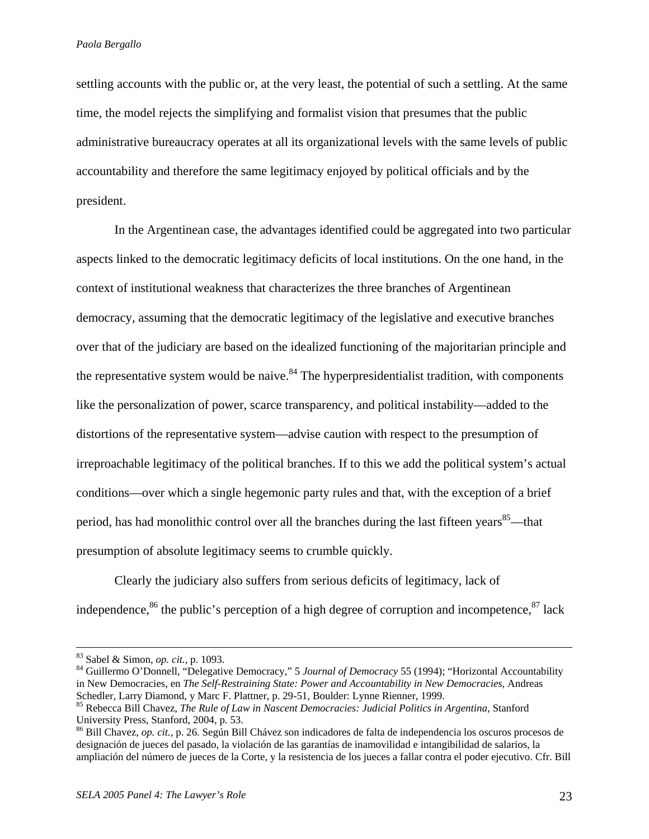settling accounts with the public or, at the very least, the potential of such a settling. At the same time, the model rejects the simplifying and formalist vision that presumes that the public administrative bureaucracy operates at all its organizational levels with the same levels of public accountability and therefore the same legitimacy enjoyed by political officials and by the president.

 In the Argentinean case, the advantages identified could be aggregated into two particular aspects linked to the democratic legitimacy deficits of local institutions. On the one hand, in the context of institutional weakness that characterizes the three branches of Argentinean democracy, assuming that the democratic legitimacy of the legislative and executive branches over that of the judiciary are based on the idealized functioning of the majoritarian principle and the representative system would be naive.<sup>84</sup> The hyperpresidentialist tradition, with components like the personalization of power, scarce transparency, and political instability—added to the distortions of the representative system—advise caution with respect to the presumption of irreproachable legitimacy of the political branches. If to this we add the political system's actual conditions—over which a single hegemonic party rules and that, with the exception of a brief period, has had monolithic control over all the branches during the last fifteen years  $85$ —that presumption of absolute legitimacy seems to crumble quickly.

 Clearly the judiciary also suffers from serious deficits of legitimacy, lack of independence,  $86$  the public's perception of a high degree of corruption and incompetence,  $87$  lack

<sup>&</sup>lt;sup>83</sup> Sabel & Simon, *op. cit.*, p. 1093.<br><sup>84</sup> Guillermo O'Donnell, "Delegative Democracy," 5 *Journal of Democracy* 55 (1994); "Horizontal Accountability in New Democracies, en *The Self-Restraining State: Power and Accountability in New Democracies*, Andreas Schedler, Larry Diamond, y Marc F. Plattner, p. 29-51, Boulder: Lynne Rienner, 1999.

<sup>85</sup> Rebecca Bill Chavez, *The Rule of Law in Nascent Democracies: Judicial Politics in Argentina*, Stanford University Press, Stanford, 2004, p. 53.

<sup>86</sup> Bill Chavez, *op. cit.,* p. 26. Según Bill Chávez son indicadores de falta de independencia los oscuros procesos de designación de jueces del pasado, la violación de las garantías de inamovilidad e intangibilidad de salarios, la ampliación del número de jueces de la Corte, y la resistencia de los jueces a fallar contra el poder ejecutivo. Cfr. Bill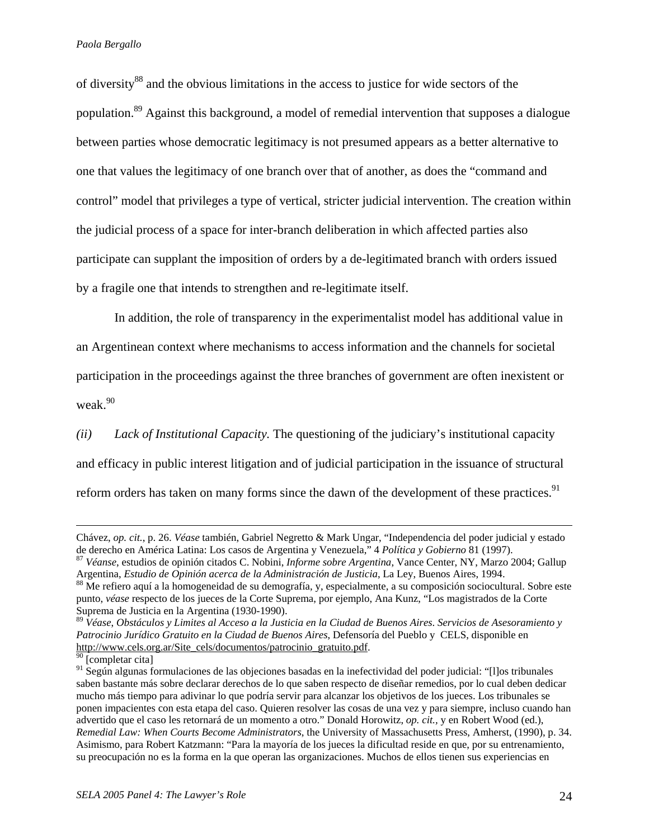of diversity<sup>88</sup> and the obvious limitations in the access to justice for wide sectors of the population.89 Against this background, a model of remedial intervention that supposes a dialogue between parties whose democratic legitimacy is not presumed appears as a better alternative to one that values the legitimacy of one branch over that of another, as does the "command and control" model that privileges a type of vertical, stricter judicial intervention. The creation within the judicial process of a space for inter-branch deliberation in which affected parties also participate can supplant the imposition of orders by a de-legitimated branch with orders issued by a fragile one that intends to strengthen and re-legitimate itself.

 In addition, the role of transparency in the experimentalist model has additional value in an Argentinean context where mechanisms to access information and the channels for societal participation in the proceedings against the three branches of government are often inexistent or weak.<sup>90</sup>

*(ii) Lack of Institutional Capacity.* The questioning of the judiciary's institutional capacity and efficacy in public interest litigation and of judicial participation in the issuance of structural reform orders has taken on many forms since the dawn of the development of these practices.<sup>91</sup>

Chávez, *op. cit.*, p. 26. *Véase* también, Gabriel Negretto & Mark Ungar, "Independencia del poder judicial y estado de derecho en América Latina: Los casos de Argentina y Venezuela," 4 Política y Gobierno 81 (1997).<br><sup>87</sup> Véanse, estudios de opinión citados C. Nobini, *Informe sobre Argentina*, Vance Center, NY, Marzo 2004; Gallup

Argentina, *Estudio de Opinión acerca de la Administración de Justicia*, La Ley, Buenos Aires, 1994.<br><sup>88</sup> Me refiero aquí a la homogeneidad de su demografía, y, especialmente, a su composición sociocultural. Sobre este

punto, *véase* respecto de los jueces de la Corte Suprema, por ejemplo, Ana Kunz, "Los magistrados de la Corte Suprema de Justicia en la Argentina (1930-1990).

<sup>89</sup> *Véase*, *Obstáculos y Limites al Acceso a la Justicia en la Ciudad de Buenos Aires*. *Servicios de Asesoramiento y Patrocinio Jurídico Gratuito en la Ciudad de Buenos Aires*, Defensoría del Pueblo y CELS, disponible en http://www.cels.org.ar/Site\_cels/documentos/patrocinio\_gratuito.pdf.

<sup>[</sup>completar cita]

<sup>91</sup> Según algunas formulaciones de las objeciones basadas en la inefectividad del poder judicial: "[l]os tribunales saben bastante más sobre declarar derechos de lo que saben respecto de diseñar remedios, por lo cual deben dedicar mucho más tiempo para adivinar lo que podría servir para alcanzar los objetivos de los jueces. Los tribunales se ponen impacientes con esta etapa del caso. Quieren resolver las cosas de una vez y para siempre, incluso cuando han advertido que el caso les retornará de un momento a otro." Donald Horowitz, *op. cit.,* y en Robert Wood (ed.), *Remedial Law: When Courts Become Administrators*, the University of Massachusetts Press, Amherst, (1990), p. 34. Asimismo, para Robert Katzmann: "Para la mayoría de los jueces la dificultad reside en que, por su entrenamiento, su preocupación no es la forma en la que operan las organizaciones. Muchos de ellos tienen sus experiencias en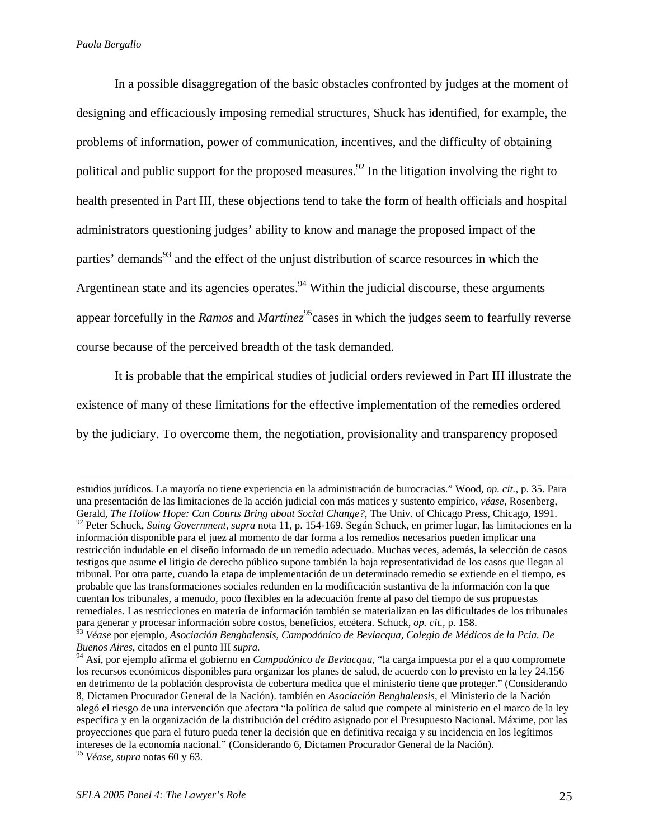In a possible disaggregation of the basic obstacles confronted by judges at the moment of designing and efficaciously imposing remedial structures, Shuck has identified, for example, the problems of information, power of communication, incentives, and the difficulty of obtaining political and public support for the proposed measures.<sup>92</sup> In the litigation involving the right to health presented in Part III, these objections tend to take the form of health officials and hospital administrators questioning judges' ability to know and manage the proposed impact of the parties' demands<sup>93</sup> and the effect of the unjust distribution of scarce resources in which the Argentinean state and its agencies operates.<sup>94</sup> Within the judicial discourse, these arguments appear forcefully in the *Ramos* and *Martínez*<sup>95</sup>cases in which the judges seem to fearfully reverse course because of the perceived breadth of the task demanded.

 It is probable that the empirical studies of judicial orders reviewed in Part III illustrate the existence of many of these limitations for the effective implementation of the remedies ordered by the judiciary. To overcome them, the negotiation, provisionality and transparency proposed

estudios jurídicos. La mayoría no tiene experiencia en la administración de burocracias." Wood, *op. cit.*, p. 35. Para una presentación de las limitaciones de la acción judicial con más matices y sustento empírico, *véase*, Rosenberg, Gerald, *The Hollow Hope: Can Courts Bring about Social Change?*, The Univ. of Chicago Press, Chicago, 1991. 92 Peter Schuck, *Suing Government, supra* nota 11, p. 154-169. Según Schuck, en primer lugar, las limitaciones en la información disponible para el juez al momento de dar forma a los remedios necesarios pueden implicar una restricción indudable en el diseño informado de un remedio adecuado. Muchas veces, además, la selección de casos testigos que asume el litigio de derecho público supone también la baja representatividad de los casos que llegan al tribunal. Por otra parte, cuando la etapa de implementación de un determinado remedio se extiende en el tiempo, es probable que las transformaciones sociales redunden en la modificación sustantiva de la información con la que cuentan los tribunales, a menudo, poco flexibles en la adecuación frente al paso del tiempo de sus propuestas

remediales. Las restricciones en materia de información también se materializan en las dificultades de los tribunales para generar y procesar información sobre costos, beneficios, etcétera. Schuck, *op. cit.,* p. 158.

<sup>93</sup> *Véase* por ejemplo, *Asociación Benghalensis, Campodónico de Beviacqua, Colegio de Médicos de la Pcia. De Buenos Aires*, citados en el punto III *supra.* 

<sup>94</sup> Así, por ejemplo afirma el gobierno en *Campodónico de Beviacqua*, "la carga impuesta por el a quo compromete los recursos económicos disponibles para organizar los planes de salud, de acuerdo con lo previsto en la ley 24.156 en detrimento de la población desprovista de cobertura medica que el ministerio tiene que proteger." (Considerando 8, Dictamen Procurador General de la Nación). también en *Asociación Benghalensis*, el Ministerio de la Nación alegó el riesgo de una intervención que afectara "la política de salud que compete al ministerio en el marco de la ley específica y en la organización de la distribución del crédito asignado por el Presupuesto Nacional. Máxime, por las proyecciones que para el futuro pueda tener la decisión que en definitiva recaiga y su incidencia en los legítimos intereses de la economía nacional." (Considerando 6, Dictamen Procurador General de la Nación).

<sup>95</sup> *Véase*, *supra* notas 60 y 63.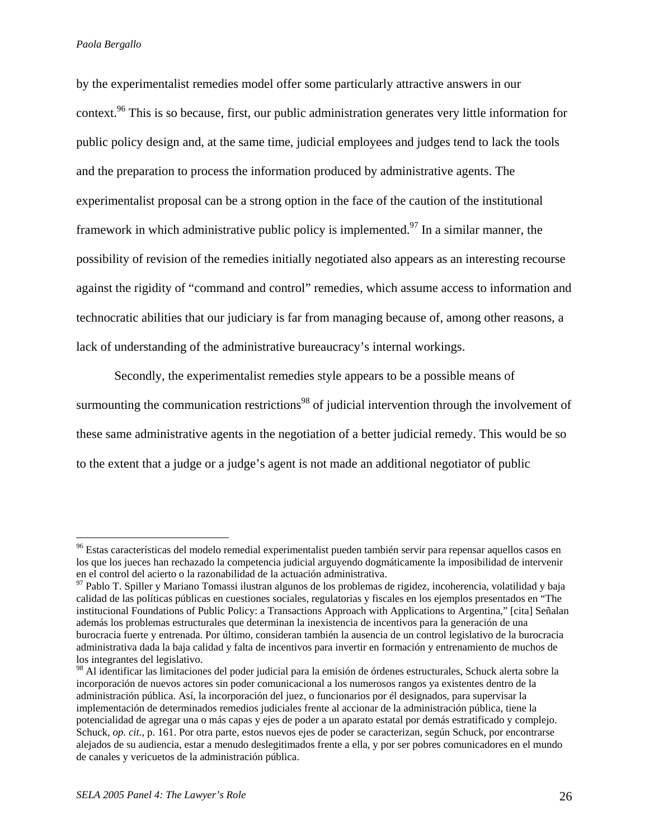$\overline{a}$ 

by the experimentalist remedies model offer some particularly attractive answers in our context.<sup>96</sup> This is so because, first, our public administration generates very little information for public policy design and, at the same time, judicial employees and judges tend to lack the tools and the preparation to process the information produced by administrative agents. The experimentalist proposal can be a strong option in the face of the caution of the institutional framework in which administrative public policy is implemented.<sup>97</sup> In a similar manner, the possibility of revision of the remedies initially negotiated also appears as an interesting recourse against the rigidity of "command and control" remedies, which assume access to information and technocratic abilities that our judiciary is far from managing because of, among other reasons, a lack of understanding of the administrative bureaucracy's internal workings.

 Secondly, the experimentalist remedies style appears to be a possible means of surmounting the communication restrictions<sup>98</sup> of judicial intervention through the involvement of these same administrative agents in the negotiation of a better judicial remedy. This would be so to the extent that a judge or a judge's agent is not made an additional negotiator of public

<sup>&</sup>lt;sup>96</sup> Estas características del modelo remedial experimentalist pueden también servir para repensar aquellos casos en los que los jueces han rechazado la competencia judicial arguyendo dogmáticamente la imposibilidad de intervenir en el control del acierto o la razonabilidad de la actuación administrativa.

<sup>97</sup> Pablo T. Spiller y Mariano Tomassi ilustran algunos de los problemas de rigidez, incoherencia, volatilidad y baja calidad de las políticas públicas en cuestiones sociales, regulatorias y fiscales en los ejemplos presentados en "The institucional Foundations of Public Policy: a Transactions Approach with Applications to Argentina," [cita] Señalan además los problemas estructurales que determinan la inexistencia de incentivos para la generación de una burocracia fuerte y entrenada. Por último, consideran también la ausencia de un control legislativo de la burocracia administrativa dada la baja calidad y falta de incentivos para invertir en formación y entrenamiento de muchos de los integrantes del legislativo.

<sup>&</sup>lt;sup>98</sup> Al identificar las limitaciones del poder judicial para la emisión de órdenes estructurales, Schuck alerta sobre la incorporación de nuevos actores sin poder comunicacional a los numerosos rangos ya existentes dentro de la administración pública. Así, la incorporación del juez, o funcionarios por él designados, para supervisar la implementación de determinados remedios judiciales frente al accionar de la administración pública, tiene la potencialidad de agregar una o más capas y ejes de poder a un aparato estatal por demás estratificado y complejo. Schuck, *op. cit.*, p. 161. Por otra parte, estos nuevos ejes de poder se caracterizan, según Schuck, por encontrarse alejados de su audiencia, estar a menudo deslegitimados frente a ella, y por ser pobres comunicadores en el mundo de canales y vericuetos de la administración pública.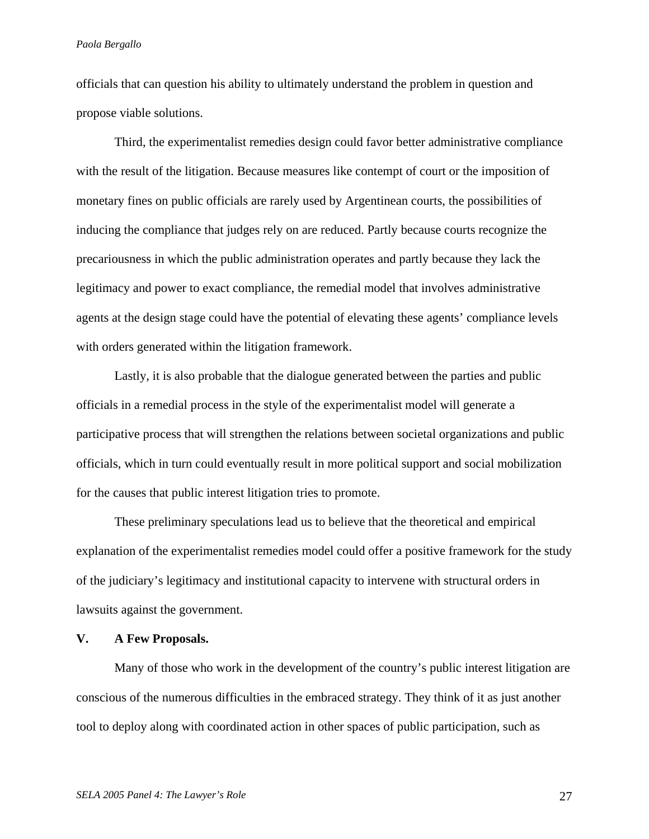officials that can question his ability to ultimately understand the problem in question and propose viable solutions.

Third, the experimentalist remedies design could favor better administrative compliance with the result of the litigation. Because measures like contempt of court or the imposition of monetary fines on public officials are rarely used by Argentinean courts, the possibilities of inducing the compliance that judges rely on are reduced. Partly because courts recognize the precariousness in which the public administration operates and partly because they lack the legitimacy and power to exact compliance, the remedial model that involves administrative agents at the design stage could have the potential of elevating these agents' compliance levels with orders generated within the litigation framework.

Lastly, it is also probable that the dialogue generated between the parties and public officials in a remedial process in the style of the experimentalist model will generate a participative process that will strengthen the relations between societal organizations and public officials, which in turn could eventually result in more political support and social mobilization for the causes that public interest litigation tries to promote.

These preliminary speculations lead us to believe that the theoretical and empirical explanation of the experimentalist remedies model could offer a positive framework for the study of the judiciary's legitimacy and institutional capacity to intervene with structural orders in lawsuits against the government.

# **V. A Few Proposals.**

Many of those who work in the development of the country's public interest litigation are conscious of the numerous difficulties in the embraced strategy. They think of it as just another tool to deploy along with coordinated action in other spaces of public participation, such as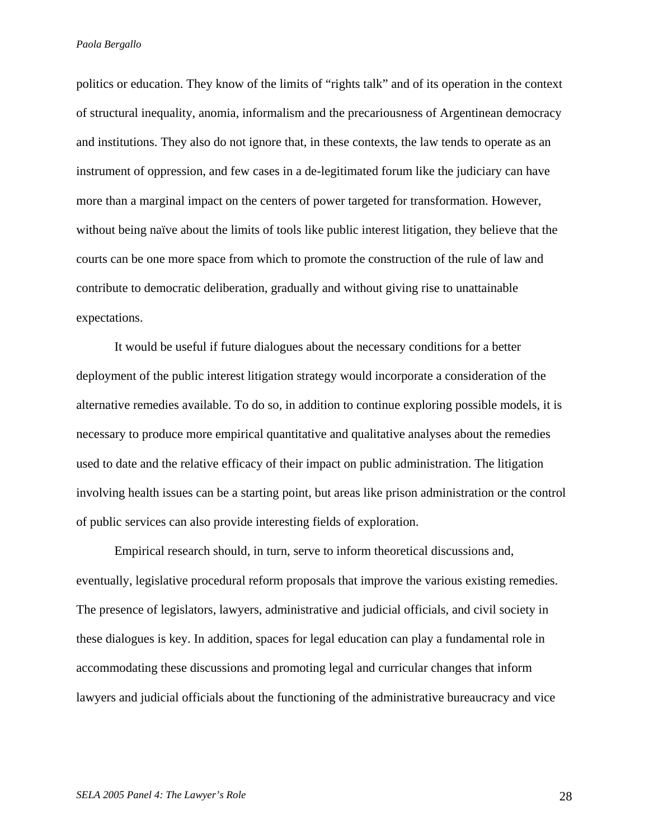politics or education. They know of the limits of "rights talk" and of its operation in the context of structural inequality, anomia, informalism and the precariousness of Argentinean democracy and institutions. They also do not ignore that, in these contexts, the law tends to operate as an instrument of oppression, and few cases in a de-legitimated forum like the judiciary can have more than a marginal impact on the centers of power targeted for transformation. However, without being naïve about the limits of tools like public interest litigation, they believe that the courts can be one more space from which to promote the construction of the rule of law and contribute to democratic deliberation, gradually and without giving rise to unattainable expectations.

 It would be useful if future dialogues about the necessary conditions for a better deployment of the public interest litigation strategy would incorporate a consideration of the alternative remedies available. To do so, in addition to continue exploring possible models, it is necessary to produce more empirical quantitative and qualitative analyses about the remedies used to date and the relative efficacy of their impact on public administration. The litigation involving health issues can be a starting point, but areas like prison administration or the control of public services can also provide interesting fields of exploration.

Empirical research should, in turn, serve to inform theoretical discussions and, eventually, legislative procedural reform proposals that improve the various existing remedies. The presence of legislators, lawyers, administrative and judicial officials, and civil society in these dialogues is key. In addition, spaces for legal education can play a fundamental role in accommodating these discussions and promoting legal and curricular changes that inform lawyers and judicial officials about the functioning of the administrative bureaucracy and vice